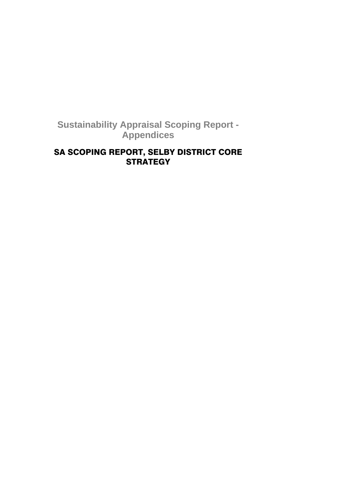# **Sustainability Appraisal Scoping Report - Appendices**

# SA SCOPING REPORT, SELBY DISTRICT CORE **STRATEGY**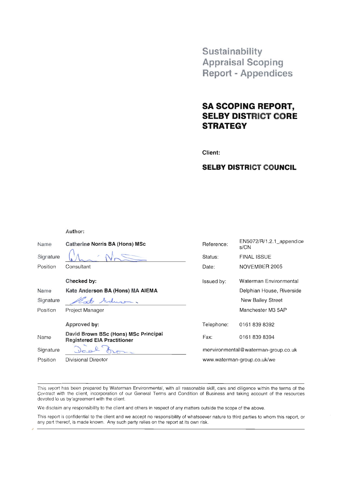Sustainability **Appraisal Scoping Report - Appendices** 

# **SA SCOPING REPORT, SELBY DISTRICT CORE STRATEGY**

Client:

# **SELBY DISTRICT COUNCIL**

Author:

| Name      | <b>Catherine Norris BA (Hons) MSc</b>                                      | Reference:                          | $EN5072/R/1.2.1$ appendice<br>s/CN |  |
|-----------|----------------------------------------------------------------------------|-------------------------------------|------------------------------------|--|
| Signature |                                                                            | Status:                             | <b>FINAL ISSUE</b>                 |  |
| Position  | Consultant                                                                 | Date:                               | NOVEMBER 2005                      |  |
|           | Checked by:                                                                | Issued by:                          | Waterman Environmental             |  |
| Name      | Kate Anderson BA (Hons) MA AIEMA                                           |                                     | Delphian House, Riverside          |  |
| Signature | Seducom.                                                                   |                                     | New Bailey Street                  |  |
| Position  | Project Manager                                                            |                                     | Manchester M3 5AP                  |  |
|           | Approved by:                                                               | Telephone:                          | 01618398392                        |  |
| Name      | David Brown BSc (Hons) MSc Principal<br><b>Registered EIA Practitioner</b> | Fax:                                | 01618398394                        |  |
| Signature |                                                                            | menvironmental@waterman-group.co.uk |                                    |  |
| Position  | Divisional Director                                                        | www.waterman-group.co.uk/we         |                                    |  |
|           |                                                                            |                                     |                                    |  |

This report has been prepared by Waterman Environmental, with all reasonable skill, care and diligence within the terms of the Contract with the client, incorporation of our General Terms and Condition of Business and taking account of the resources devoted to us by agreement with the client.

We disclaim any responsibility to the client and others in respect of any matters outside the scope of the above.

This report is confidential to the client and we accept no responsibility of whatsoever nature to third parties to whom this report, or any part thereof, is made known. Any such party relies on the report at its own risk.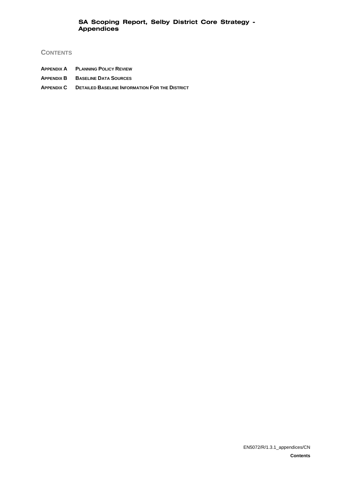# **CONTENTS**

- **APPENDIX A PLANNING POLICY REVIEW**
- **APPENDIX B BASELINE DATA SOURCES**
- **APPENDIX C DETAILED BASELINE INFORMATION FOR THE DISTRICT**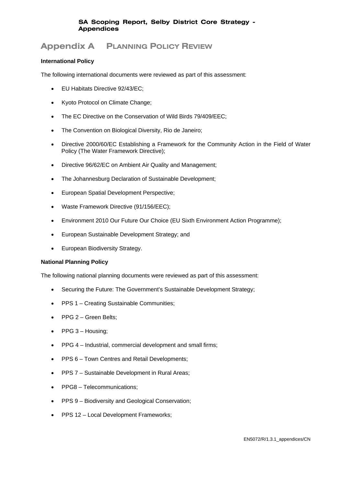# **Appendix A PLANNING POLICY REVIEW**

## **International Policy**

The following international documents were reviewed as part of this assessment:

- EU Habitats Directive 92/43/EC;
- Kyoto Protocol on Climate Change;
- The EC Directive on the Conservation of Wild Birds 79/409/EEC;
- The Convention on Biological Diversity, Rio de Janeiro;
- Directive 2000/60/EC Establishing a Framework for the Community Action in the Field of Water Policy (The Water Framework Directive);
- Directive 96/62/EC on Ambient Air Quality and Management;
- The Johannesburg Declaration of Sustainable Development;
- European Spatial Development Perspective;
- Waste Framework Directive (91/156/EEC);
- Environment 2010 Our Future Our Choice (EU Sixth Environment Action Programme);
- European Sustainable Development Strategy; and
- European Biodiversity Strategy.

### **National Planning Policy**

The following national planning documents were reviewed as part of this assessment:

- Securing the Future: The Government's Sustainable Development Strategy;
- PPS 1 Creating Sustainable Communities;
- PPG 2 Green Belts:
- PPG 3 Housing;
- PPG 4 Industrial, commercial development and small firms;
- PPS 6 Town Centres and Retail Developments;
- PPS 7 Sustainable Development in Rural Areas;
- PPG8 Telecommunications;
- PPS 9 Biodiversity and Geological Conservation;
- PPS 12 Local Development Frameworks;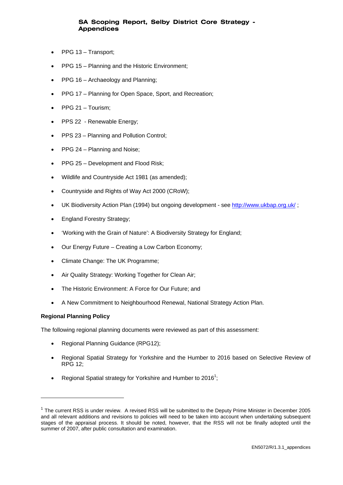- PPG 13 Transport;
- PPG 15 Planning and the Historic Environment;
- PPG 16 Archaeology and Planning;
- PPG 17 Planning for Open Space, Sport, and Recreation;
- PPG 21 Tourism;
- PPS 22 Renewable Energy;
- PPS 23 Planning and Pollution Control;
- PPG 24 Planning and Noise;
- PPG 25 Development and Flood Risk;
- Wildlife and Countryside Act 1981 (as amended);
- Countryside and Rights of Way Act 2000 (CRoW);
- UK Biodiversity Action Plan (1994) but ongoing development see http://www.ukbap.org.uk/;
- England Forestry Strategy;
- 'Working with the Grain of Nature': A Biodiversity Strategy for England;
- Our Energy Future Creating a Low Carbon Economy;
- Climate Change: The UK Programme;
- Air Quality Strategy: Working Together for Clean Air;
- The Historic Environment: A Force for Our Future; and
- A New Commitment to Neighbourhood Renewal, National Strategy Action Plan.

# **Regional Planning Policy**

l

The following regional planning documents were reviewed as part of this assessment:

- Regional Planning Guidance (RPG12);
- Regional Spatial Strategy for Yorkshire and the Humber to 2016 based on Selective Review of RPG 12;
- Regional Spatial strategy for Yorkshire and Humber to 2016<sup>1</sup>;

 $1$  The current RSS is under review. A revised RSS will be submitted to the Deputy Prime Minister in December 2005 and all relevant additions and revisions to policies will need to be taken into account when undertaking subsequent stages of the appraisal process. It should be noted, however, that the RSS will not be finally adopted until the summer of 2007, after public consultation and examination.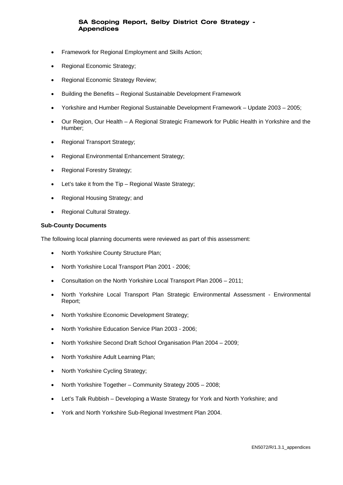- Framework for Regional Employment and Skills Action;
- Regional Economic Strategy;
- Regional Economic Strategy Review;
- Building the Benefits Regional Sustainable Development Framework
- Yorkshire and Humber Regional Sustainable Development Framework Update 2003 2005;
- Our Region, Our Health A Regional Strategic Framework for Public Health in Yorkshire and the Humber;
- Regional Transport Strategy;
- Regional Environmental Enhancement Strategy;
- Regional Forestry Strategy;
- Let's take it from the Tip Regional Waste Strategy;
- Regional Housing Strategy; and
- Regional Cultural Strategy.

## **Sub-County Documents**

The following local planning documents were reviewed as part of this assessment:

- North Yorkshire County Structure Plan;
- North Yorkshire Local Transport Plan 2001 2006;
- Consultation on the North Yorkshire Local Transport Plan 2006 2011;
- North Yorkshire Local Transport Plan Strategic Environmental Assessment Environmental Report;
- North Yorkshire Economic Development Strategy:
- North Yorkshire Education Service Plan 2003 2006;
- North Yorkshire Second Draft School Organisation Plan 2004 2009;
- North Yorkshire Adult Learning Plan;
- North Yorkshire Cycling Strategy;
- North Yorkshire Together Community Strategy 2005 2008;
- Let's Talk Rubbish Developing a Waste Strategy for York and North Yorkshire; and
- York and North Yorkshire Sub-Regional Investment Plan 2004.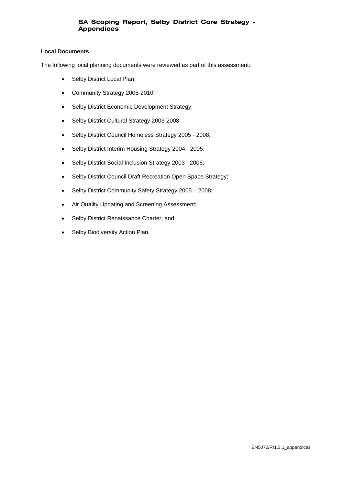### **Local Documents**

The following local planning documents were reviewed as part of this assessment:

- Selby District Local Plan;
- Community Strategy 2005-2010;
- Selby District Economic Development Strategy;
- Selby District Cultural Strategy 2003-2008;
- Selby District Council Homeless Strategy 2005 2008;
- Selby District Interim Housing Strategy 2004 2005;
- Selby District Social Inclusion Strategy 2003 2006;
- Selby District Council Draft Recreation Open Space Strategy;
- Selby District Community Safety Strategy 2005 2008;
- Air Quality Updating and Screening Assessment;
- Selby District Renaissance Charter; and
- Selby Biodiversity Action Plan.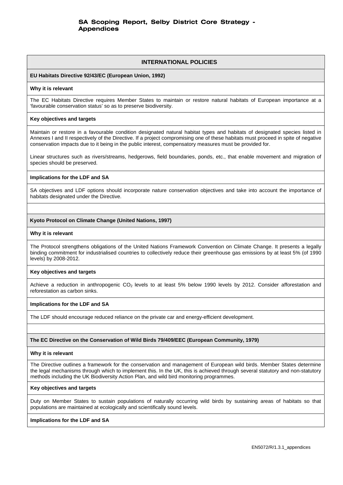### **INTERNATIONAL POLICIES**

### **EU Habitats Directive 92/43/EC (European Union, 1992)**

#### **Why it is relevant**

The EC Habitats Directive requires Member States to maintain or restore natural habitats of European importance at a 'favourable conservation status' so as to preserve biodiversity.

#### **Key objectives and targets**

Maintain or restore in a favourable condition designated natural habitat types and habitats of designated species listed in Annexes I and II respectively of the Directive. If a project compromising one of these habitats must proceed in spite of negative conservation impacts due to it being in the public interest, compensatory measures must be provided for.

Linear structures such as rivers/streams, hedgerows, field boundaries, ponds, etc., that enable movement and migration of species should be preserved.

### **Implications for the LDF and SA**

SA objectives and LDF options should incorporate nature conservation objectives and take into account the importance of habitats designated under the Directive.

### **Kyoto Protocol on Climate Change (United Nations, 1997)**

### **Why it is relevant**

The Protocol strengthens obligations of the United Nations Framework Convention on Climate Change. It presents a legally binding commitment for industrialised countries to collectively reduce their greenhouse gas emissions by at least 5% (of 1990 levels) by 2008-2012.

### **Key objectives and targets**

Achieve a reduction in anthropogenic CO<sub>2</sub> levels to at least 5% below 1990 levels by 2012. Consider afforestation and reforestation as carbon sinks.

### **Implications for the LDF and SA**

The LDF should encourage reduced reliance on the private car and energy-efficient development.

### **The EC Directive on the Conservation of Wild Birds 79/409/EEC (European Community, 1979)**

#### **Why it is relevant**

The Directive outlines a framework for the conservation and management of European wild birds. Member States determine the legal mechanisms through which to implement this. In the UK, this is achieved through several statutory and non-statutory methods including the UK Biodiversity Action Plan, and wild bird monitoring programmes.

#### **Key objectives and targets**

Duty on Member States to sustain populations of naturally occurring wild birds by sustaining areas of habitats so that populations are maintained at ecologically and scientifically sound levels.

### **Implications for the LDF and SA**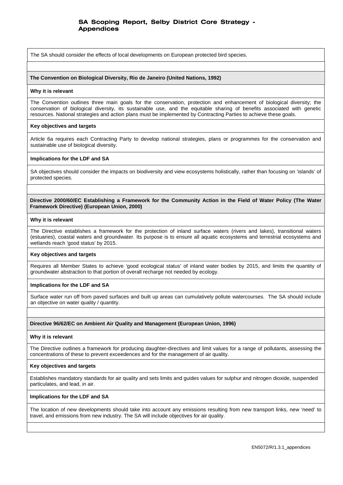The SA should consider the effects of local developments on European protected bird species.

#### **The Convention on Biological Diversity, Rio de Janeiro (United Nations, 1992)**

#### **Why it is relevant**

The Convention outlines three main goals for the conservation, protection and enhancement of biological diversity; the conservation of biological diversity, its sustainable use, and the equitable sharing of benefits associated with genetic resources. National strategies and action plans must be implemented by Contracting Parties to achieve these goals.

#### **Key objectives and targets**

Article 6a requires each Contracting Party to develop national strategies, plans or programmes for the conservation and sustainable use of biological diversity.

#### **Implications for the LDF and SA**

SA objectives should consider the impacts on biodiversity and view ecosystems holistically, rather than focusing on 'islands' of protected species.

**Directive 2000/60/EC Establishing a Framework for the Community Action in the Field of Water Policy (The Water Framework Directive) (European Union, 2000)** 

#### **Why it is relevant**

The Directive establishes a framework for the protection of inland surface waters (rivers and lakes), transitional waters (estuaries), coastal waters and groundwater. Its purpose is to ensure all aquatic ecosystems and terrestrial ecosystems and wetlands reach 'good status' by 2015.

### **Key objectives and targets**

Requires all Member States to achieve 'good ecological status' of inland water bodies by 2015, and limits the quantity of groundwater abstraction to that portion of overall recharge not needed by ecology.

#### **Implications for the LDF and SA**

Surface water run off from paved surfaces and built up areas can cumulatively pollute watercourses. The SA should include an objective on water quality / quantity.

### **Directive 96/62/EC on Ambient Air Quality and Management (European Union, 1996)**

#### **Why it is relevant**

The Directive outlines a framework for producing daughter-directives and limit values for a range of pollutants, assessing the concentrations of these to prevent exceedences and for the management of air quality.

#### **Key objectives and targets**

Establishes mandatory standards for air quality and sets limits and guides values for sulphur and nitrogen dioxide, suspended particulates, and lead, in air.

#### **Implications for the LDF and SA**

The location of new developments should take into account any emissions resulting from new transport links, new 'need' to travel, and emissions from new industry. The SA will include objectives for air quality.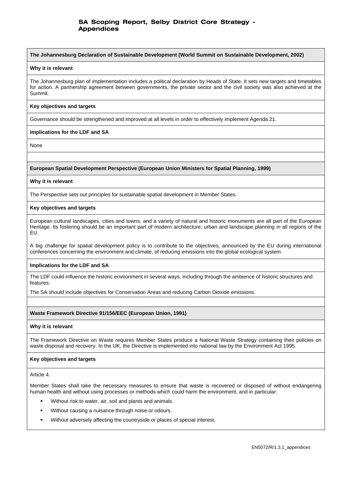**The Johannesburg Declaration of Sustainable Development (World Summit on Sustainable Development, 2002)**

#### **Why it is relevant**

The Johannesburg plan of implementation includes a political declaration by Heads of State. It sets new targets and timetables for action. A partnership agreement between governments, the private sector and the civil society was also achieved at the Summit.

#### **Key objectives and targets**

Governance should be strengthened and improved at all levels in order to effectively implement Agenda 21.

### **Implications for the LDF and SA**

None

### **European Spatial Development Perspective (European Union Ministers for Spatial Planning, 1999)**

#### **Why it is relevant**

The Perspective sets out principles for sustainable spatial development in Member States.

#### **Key objectives and targets**

European cultural landscapes, cities and towns, and a variety of natural and historic monuments are all part of the European Heritage. Its fostering should be an important part of modern architecture, urban and landscape planning in all regions of the EU.

A big challenge for spatial development policy is to contribute to the objectives, announced by the EU during international conferences concerning the environment and climate, of reducing emissions into the global ecological system.

### **Implications for the LDF and SA**

The LDF could influence the historic environment in several ways, including through the ambience of historic structures and features.

The SA should include objectives for Conservation Areas and reducing Carbon Dioxide emissions.

### **Waste Framework Directive 91/156/EEC (European Union, 1991)**

### **Why it is relevant**

The Framework Directive on Waste requires Member States produce a National Waste Strategy containing their policies on waste disposal and recovery. In the UK, the Directive is implemented into national law by the Environment Act 1995.

### **Key objectives and targets**

Article 4.

Member States shall take the necessary measures to ensure that waste is recovered or disposed of without endangering human health and without using processes or methods which could harm the environment, and in particular:

- Without risk to water, air, soil and plants and animals.
- Without causing a nuisance through noise or odours.
- Without adversely affecting the countryside or places of special interest.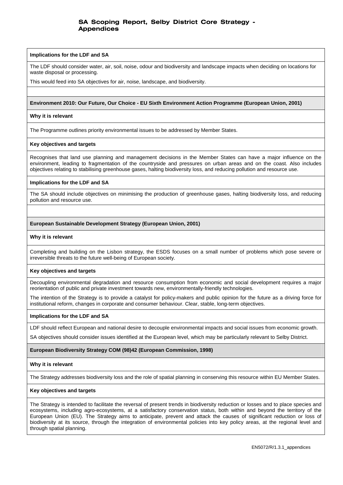#### **Implications for the LDF and SA**

The LDF should consider water, air, soil, noise, odour and biodiversity and landscape impacts when deciding on locations for waste disposal or processing.

This would feed into SA objectives for air, noise, landscape, and biodiversity.

### **Environment 2010: Our Future, Our Choice - EU Sixth Environment Action Programme (European Union, 2001)**

#### **Why it is relevant**

The Programme outlines priority environmental issues to be addressed by Member States.

#### **Key objectives and targets**

Recognises that land use planning and management decisions in the Member States can have a major influence on the environment, leading to fragmentation of the countryside and pressures on urban areas and on the coast. Also includes objectives relating to stabilising greenhouse gases, halting biodiversity loss, and reducing pollution and resource use.

#### **Implications for the LDF and SA**

The SA should include objectives on minimising the production of greenhouse gases, halting biodiversity loss, and reducing pollution and resource use.

#### **European Sustainable Development Strategy (European Union, 2001)**

#### **Why it is relevant**

Completing and building on the Lisbon strategy, the ESDS focuses on a small number of problems which pose severe or irreversible threats to the future well-being of European society.

### **Key objectives and targets**

Decoupling environmental degradation and resource consumption from economic and social development requires a major reorientation of public and private investment towards new, environmentally-friendly technologies.

The intention of the Strategy is to provide a catalyst for policy-makers and public opinion for the future as a driving force for institutional reform, changes in corporate and consumer behaviour. Clear, stable, long-term objectives.

#### **Implications for the LDF and SA**

LDF should reflect European and national desire to decouple environmental impacts and social issues from economic growth.

SA objectives should consider issues identified at the European level, which may be particularly relevant to Selby District.

### **European Biodiversity Strategy COM (98)42 (European Commission, 1998)**

### **Why it is relevant**

The Strategy addresses biodiversity loss and the role of spatial planning in conserving this resource within EU Member States.

### **Key objectives and targets**

The Strategy is intended to facilitate the reversal of present trends in biodiversity reduction or losses and to place species and ecosystems, including agro-ecosystems, at a satisfactory conservation status, both within and beyond the territory of the European Union (EU). The Strategy aims to anticipate, prevent and attack the causes of significant reduction or loss of biodiversity at its source, through the integration of environmental policies into key policy areas, at the regional level and through spatial planning.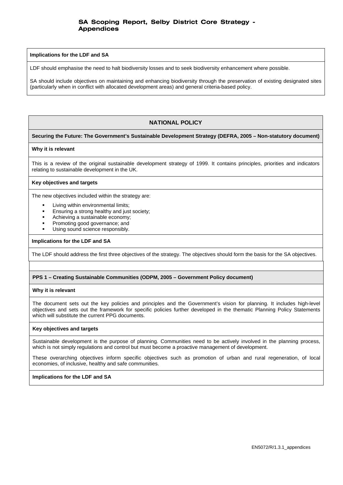#### **Implications for the LDF and SA**

LDF should emphasise the need to halt biodiversity losses and to seek biodiversity enhancement where possible.

SA should include objectives on maintaining and enhancing biodiversity through the preservation of existing designated sites (particularly when in conflict with allocated development areas) and general criteria-based policy.

# **NATIONAL POLICY**

### **Securing the Future: The Government's Sustainable Development Strategy (DEFRA, 2005 – Non-statutory document)**

### **Why it is relevant**

This is a review of the original sustainable development strategy of 1999. It contains principles, priorities and indicators relating to sustainable development in the UK.

#### **Key objectives and targets**

The new objectives included within the strategy are:

- Living within environmental limits;
- Ensuring a strong healthy and just society;
- Achieving a sustainable economy;
- Promoting good governance; and
- Using sound science responsibly.

#### **Implications for the LDF and SA**

The LDF should address the first three objectives of the strategy. The objectives should form the basis for the SA objectives.

### **PPS 1 – Creating Sustainable Communities (ODPM, 2005 – Government Policy document)**

#### **Why it is relevant**

The document sets out the key policies and principles and the Government's vision for planning. It includes high-level objectives and sets out the framework for specific policies further developed in the thematic Planning Policy Statements which will substitute the current PPG documents.

#### **Key objectives and targets**

Sustainable development is the purpose of planning. Communities need to be actively involved in the planning process, which is not simply regulations and control but must become a proactive management of development.

These overarching objectives inform specific objectives such as promotion of urban and rural regeneration, of local economies, of inclusive, healthy and safe communities.

### **Implications for the LDF and SA**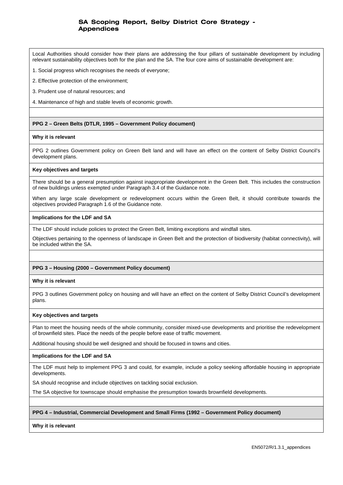Local Authorities should consider how their plans are addressing the four pillars of sustainable development by including relevant sustainability objectives both for the plan and the SA. The four core aims of sustainable development are:

1. Social progress which recognises the needs of everyone;

2. Effective protection of the environment;

3. Prudent use of natural resources; and

4. Maintenance of high and stable levels of economic growth.

### **PPG 2 – Green Belts (DTLR, 1995 – Government Policy document)**

### **Why it is relevant**

PPG 2 outlines Government policy on Green Belt land and will have an effect on the content of Selby District Council's development plans.

#### **Key objectives and targets**

There should be a general presumption against inappropriate development in the Green Belt. This includes the construction of new buildings unless exempted under Paragraph 3.4 of the Guidance note.

When any large scale development or redevelopment occurs within the Green Belt, it should contribute towards the objectives provided Paragraph 1.6 of the Guidance note.

#### **Implications for the LDF and SA**

The LDF should include policies to protect the Green Belt, limiting exceptions and windfall sites.

Objectives pertaining to the openness of landscape in Green Belt and the protection of biodiversity (habitat connectivity), will be included within the SA.

### **PPG 3 – Housing (2000 – Government Policy document)**

### **Why it is relevant**

PPG 3 outlines Government policy on housing and will have an effect on the content of Selby District Council's development plans.

### **Key objectives and targets**

Plan to meet the housing needs of the whole community, consider mixed-use developments and prioritise the redevelopment of brownfield sites. Place the needs of the people before ease of traffic movement.

Additional housing should be well designed and should be focused in towns and cities.

### **Implications for the LDF and SA**

The LDF must help to implement PPG 3 and could, for example, include a policy seeking affordable housing in appropriate developments.

SA should recognise and include objectives on tackling social exclusion.

The SA objective for townscape should emphasise the presumption towards brownfield developments.

### **PPG 4 – Industrial, Commercial Development and Small Firms (1992 – Government Policy document)**

**Why it is relevant**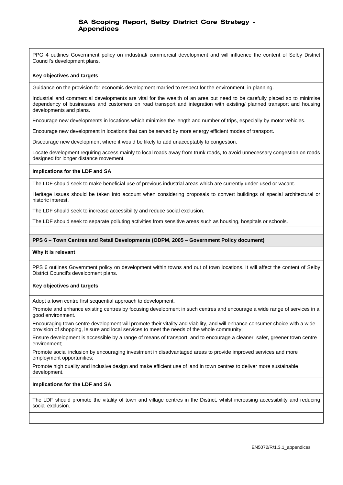PPG 4 outlines Government policy on industrial/ commercial development and will influence the content of Selby District Council's development plans.

#### **Key objectives and targets**

Guidance on the provision for economic development married to respect for the environment, in planning.

Industrial and commercial developments are vital for the wealth of an area but need to be carefully placed so to minimise dependency of businesses and customers on road transport and integration with existing/ planned transport and housing developments and plans.

Encourage new developments in locations which minimise the length and number of trips, especially by motor vehicles.

Encourage new development in locations that can be served by more energy efficient modes of transport.

Discourage new development where it would be likely to add unacceptably to congestion.

Locate development requiring access mainly to local roads away from trunk roads, to avoid unnecessary congestion on roads designed for longer distance movement.

### **Implications for the LDF and SA**

The LDF should seek to make beneficial use of previous industrial areas which are currently under-used or vacant.

Heritage issues should be taken into account when considering proposals to convert buildings of special architectural or historic interest.

The LDF should seek to increase accessibility and reduce social exclusion.

The LDF should seek to separate polluting activities from sensitive areas such as housing, hospitals or schools.

### **PPS 6 – Town Centres and Retail Developments (ODPM, 2005 – Government Policy document)**

### **Why it is relevant**

PPS 6 outlines Government policy on development within towns and out of town locations. It will affect the content of Selby District Council's development plans.

### **Key objectives and targets**

Adopt a town centre first sequential approach to development.

Promote and enhance existing centres by focusing development in such centres and encourage a wide range of services in a good environment.

Encouraging town centre development will promote their vitality and viability, and will enhance consumer choice with a wide provision of shopping, leisure and local services to meet the needs of the whole community;

Ensure development is accessible by a range of means of transport, and to encourage a cleaner, safer, greener town centre environment;

Promote social inclusion by encouraging investment in disadvantaged areas to provide improved services and more employment opportunities;

Promote high quality and inclusive design and make efficient use of land in town centres to deliver more sustainable development.

### **Implications for the LDF and SA**

The LDF should promote the vitality of town and village centres in the District, whilst increasing accessibility and reducing social exclusion.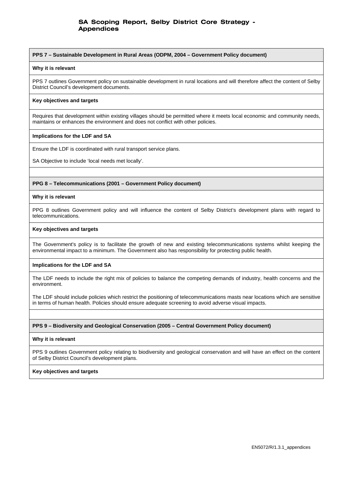#### **PPS 7 – Sustainable Development in Rural Areas (ODPM, 2004 – Government Policy document)**

#### **Why it is relevant**

PPS 7 outlines Government policy on sustainable development in rural locations and will therefore affect the content of Selby District Council's development documents.

### **Key objectives and targets**

Requires that development within existing villages should be permitted where it meets local economic and community needs, maintains or enhances the environment and does not conflict with other policies.

### **Implications for the LDF and SA**

Ensure the LDF is coordinated with rural transport service plans.

SA Objective to include 'local needs met locally'.

### **PPG 8 – Telecommunications (2001 – Government Policy document)**

#### **Why it is relevant**

PPG 8 outlines Government policy and will influence the content of Selby District's development plans with regard to telecommunications.

#### **Key objectives and targets**

The Government's policy is to facilitate the growth of new and existing telecommunications systems whilst keeping the environmental impact to a minimum. The Government also has responsibility for protecting public health.

### **Implications for the LDF and SA**

The LDF needs to include the right mix of policies to balance the competing demands of industry, health concerns and the environment.

The LDF should include policies which restrict the positioning of telecommunications masts near locations which are sensitive in terms of human health. Policies should ensure adequate screening to avoid adverse visual impacts.

### **PPS 9 – Biodiversity and Geological Conservation (2005 – Central Government Policy document)**

#### **Why it is relevant**

PPS 9 outlines Government policy relating to biodiversity and geological conservation and will have an effect on the content of Selby District Council's development plans.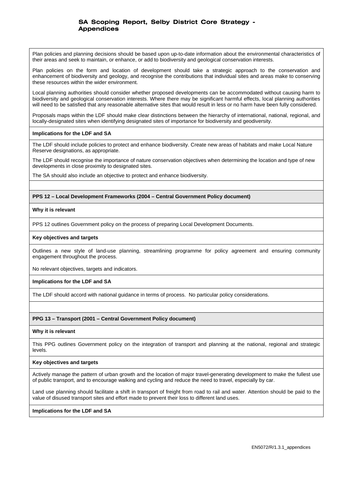Plan policies and planning decisions should be based upon up-to-date information about the environmental characteristics of their areas and seek to maintain, or enhance, or add to biodiversity and geological conservation interests.

Plan policies on the form and location of development should take a strategic approach to the conservation and enhancement of biodiversity and geology, and recognise the contributions that individual sites and areas make to conserving these resources within the wider environment.

Local planning authorities should consider whether proposed developments can be accommodated without causing harm to biodiversity and geological conservation interests. Where there may be significant harmful effects, local planning authorities will need to be satisfied that any reasonable alternative sites that would result in less or no harm have been fully considered.

Proposals maps within the LDF should make clear distinctions between the hierarchy of international, national, regional, and locally-designated sites when identifying designated sites of importance for biodiversity and geodiversity.

### **Implications for the LDF and SA**

The LDF should include policies to protect and enhance biodiversity. Create new areas of habitats and make Local Nature Reserve designations, as appropriate.

The LDF should recognise the importance of nature conservation objectives when determining the location and type of new developments in close proximity to designated sites.

The SA should also include an objective to protect and enhance biodiversity.

### **PPS 12 – Local Development Frameworks (2004 – Central Government Policy document)**

### **Why it is relevant**

PPS 12 outlines Government policy on the process of preparing Local Development Documents.

### **Key objectives and targets**

Outlines a new style of land-use planning, streamlining programme for policy agreement and ensuring community engagement throughout the process.

No relevant objectives, targets and indicators.

### **Implications for the LDF and SA**

The LDF should accord with national guidance in terms of process. No particular policy considerations.

### **PPG 13 – Transport (2001 – Central Government Policy document)**

### **Why it is relevant**

This PPG outlines Government policy on the integration of transport and planning at the national, regional and strategic levels.

### **Key objectives and targets**

Actively manage the pattern of urban growth and the location of major travel-generating development to make the fullest use of public transport, and to encourage walking and cycling and reduce the need to travel, especially by car.

Land use planning should facilitate a shift in transport of freight from road to rail and water. Attention should be paid to the value of disused transport sites and effort made to prevent their loss to different land uses.

### **Implications for the LDF and SA**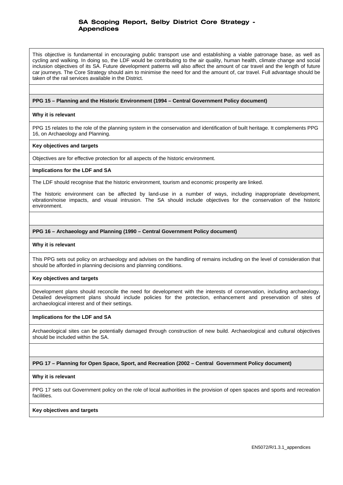This objective is fundamental in encouraging public transport use and establishing a viable patronage base, as well as cycling and walking. In doing so, the LDF would be contributing to the air quality, human health, climate change and social inclusion objectives of its SA. Future development patterns will also affect the amount of car travel and the length of future car journeys. The Core Strategy should aim to minimise the need for and the amount of, car travel. Full advantage should be taken of the rail services available in the District.

#### **PPG 15 – Planning and the Historic Environment (1994 – Central Government Policy document)**

#### **Why it is relevant**

PPG 15 relates to the role of the planning system in the conservation and identification of built heritage. It complements PPG 16, on Archaeology and Planning.

#### **Key objectives and targets**

Objectives are for effective protection for all aspects of the historic environment.

#### **Implications for the LDF and SA**

The LDF should recognise that the historic environment, tourism and economic prosperity are linked.

The historic environment can be affected by land-use in a number of ways, including inappropriate development, vibration/noise impacts, and visual intrusion. The SA should include objectives for the conservation of the historic environment.

#### **PPG 16 – Archaeology and Planning (1990 – Central Government Policy document)**

#### **Why it is relevant**

This PPG sets out policy on archaeology and advises on the handling of remains including on the level of consideration that should be afforded in planning decisions and planning conditions.

#### **Key objectives and targets**

Development plans should reconcile the need for development with the interests of conservation, including archaeology. Detailed development plans should include policies for the protection, enhancement and preservation of sites of archaeological interest and of their settings.

#### **Implications for the LDF and SA**

Archaeological sites can be potentially damaged through construction of new build. Archaeological and cultural objectives should be included within the SA.

#### **PPG 17 – Planning for Open Space, Sport, and Recreation (2002 – Central Government Policy document)**

#### **Why it is relevant**

PPG 17 sets out Government policy on the role of local authorities in the provision of open spaces and sports and recreation facilities.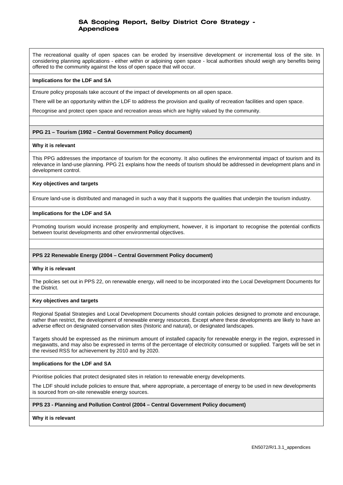The recreational quality of open spaces can be eroded by insensitive development or incremental loss of the site. In considering planning applications - either within or adjoining open space - local authorities should weigh any benefits being offered to the community against the loss of open space that will occur.

### **Implications for the LDF and SA**

Ensure policy proposals take account of the impact of developments on all open space.

There will be an opportunity within the LDF to address the provision and quality of recreation facilities and open space.

Recognise and protect open space and recreation areas which are highly valued by the community.

### **PPG 21 – Tourism (1992 – Central Government Policy document)**

#### **Why it is relevant**

This PPG addresses the importance of tourism for the economy. It also outlines the environmental impact of tourism and its relevance in land-use planning. PPG 21 explains how the needs of tourism should be addressed in development plans and in development control.

### **Key objectives and targets**

Ensure land-use is distributed and managed in such a way that it supports the qualities that underpin the tourism industry.

### **Implications for the LDF and SA**

Promoting tourism would increase prosperity and employment, however, it is important to recognise the potential conflicts between tourist developments and other environmental objectives.

### **PPS 22 Renewable Energy (2004 – Central Government Policy document)**

### **Why it is relevant**

The policies set out in PPS 22, on renewable energy, will need to be incorporated into the Local Development Documents for the District.

#### **Key objectives and targets**

Regional Spatial Strategies and Local Development Documents should contain policies designed to promote and encourage, rather than restrict, the development of renewable energy resources. Except where these developments are likely to have an adverse effect on designated conservation sites (historic and natural), or designated landscapes.

Targets should be expressed as the minimum amount of installed capacity for renewable energy in the region, expressed in megawatts, and may also be expressed in terms of the percentage of electricity consumed or supplied. Targets will be set in the revised RSS for achievement by 2010 and by 2020.

### **Implications for the LDF and SA**

Prioritise policies that protect designated sites in relation to renewable energy developments.

The LDF should include policies to ensure that, where appropriate, a percentage of energy to be used in new developments is sourced from on-site renewable energy sources.

### **PPS 23 - Planning and Pollution Control (2004 – Central Government Policy document)**

**Why it is relevant**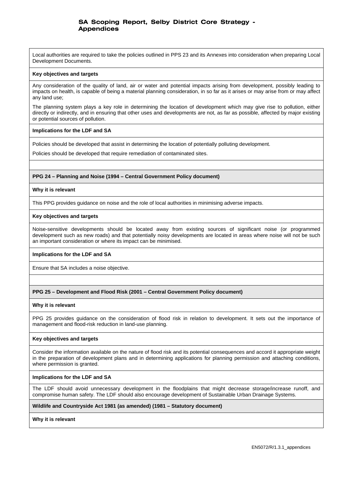Local authorities are required to take the policies outlined in PPS 23 and its Annexes into consideration when preparing Local Development Documents.

#### **Key objectives and targets**

Any consideration of the quality of land, air or water and potential impacts arising from development, possibly leading to impacts on health, is capable of being a material planning consideration, in so far as it arises or may arise from or may affect any land use;

The planning system plays a key role in determining the location of development which may give rise to pollution, either directly or indirectly, and in ensuring that other uses and developments are not, as far as possible, affected by major existing or potential sources of pollution.

### **Implications for the LDF and SA**

Policies should be developed that assist in determining the location of potentially polluting development.

Policies should be developed that require remediation of contaminated sites.

### **PPG 24 – Planning and Noise (1994 – Central Government Policy document)**

#### **Why it is relevant**

This PPG provides guidance on noise and the role of local authorities in minimising adverse impacts.

#### **Key objectives and targets**

Noise-sensitive developments should be located away from existing sources of significant noise (or programmed development such as new roads) and that potentially noisy developments are located in areas where noise will not be such an important consideration or where its impact can be minimised.

### **Implications for the LDF and SA**

Ensure that SA includes a noise objective.

### **PPG 25 – Development and Flood Risk (2001 – Central Government Policy document)**

#### **Why it is relevant**

PPG 25 provides guidance on the consideration of flood risk in relation to development. It sets out the importance of management and flood-risk reduction in land-use planning.

### **Key objectives and targets**

Consider the information available on the nature of flood risk and its potential consequences and accord it appropriate weight in the preparation of development plans and in determining applications for planning permission and attaching conditions, where permission is granted.

### **Implications for the LDF and SA**

The LDF should avoid unnecessary development in the floodplains that might decrease storage/increase runoff, and compromise human safety. The LDF should also encourage development of Sustainable Urban Drainage Systems.

### **Wildlife and Countryside Act 1981 (as amended) (1981 – Statutory document)**

#### **Why it is relevant**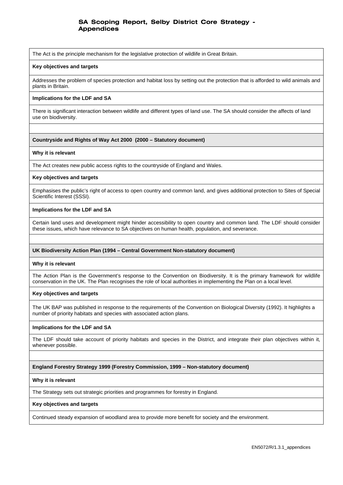The Act is the principle mechanism for the legislative protection of wildlife in Great Britain.

#### **Key objectives and targets**

Addresses the problem of species protection and habitat loss by setting out the protection that is afforded to wild animals and plants in Britain.

### **Implications for the LDF and SA**

There is significant interaction between wildlife and different types of land use. The SA should consider the affects of land use on biodiversity.

#### **Countryside and Rights of Way Act 2000 (2000 – Statutory document)**

#### **Why it is relevant**

The Act creates new public access rights to the countryside of England and Wales.

#### **Key objectives and targets**

Emphasises the public's right of access to open country and common land, and gives additional protection to Sites of Special Scientific Interest (SSSI).

#### **Implications for the LDF and SA**

Certain land uses and development might hinder accessibility to open country and common land. The LDF should consider these issues, which have relevance to SA objectives on human health, population, and severance.

### **UK Biodiversity Action Plan (1994 – Central Government Non-statutory document)**

#### **Why it is relevant**

The Action Plan is the Government's response to the Convention on Biodiversity. It is the primary framework for wildlife conservation in the UK. The Plan recognises the role of local authorities in implementing the Plan on a local level.

#### **Key objectives and targets**

The UK BAP was published in response to the requirements of the Convention on Biological Diversity (1992). It highlights a number of priority habitats and species with associated action plans.

#### **Implications for the LDF and SA**

The LDF should take account of priority habitats and species in the District, and integrate their plan objectives within it, whenever possible.

#### **England Forestry Strategy 1999 (Forestry Commission, 1999 – Non-statutory document)**

#### **Why it is relevant**

The Strategy sets out strategic priorities and programmes for forestry in England.

#### **Key objectives and targets**

Continued steady expansion of woodland area to provide more benefit for society and the environment.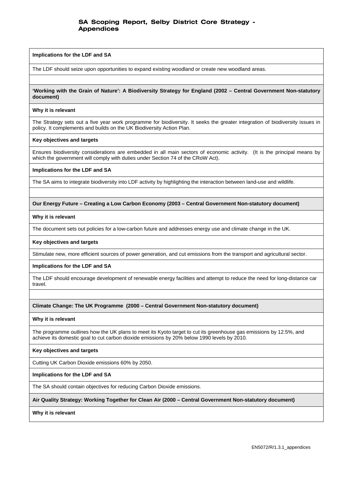#### **Implications for the LDF and SA**

The LDF should seize upon opportunities to expand existing woodland or create new woodland areas.

### **'Working with the Grain of Nature': A Biodiversity Strategy for England (2002 – Central Government Non-statutory document)**

#### **Why it is relevant**

The Strategy sets out a five year work programme for biodiversity. It seeks the greater integration of biodiversity issues in policy. It complements and builds on the UK Biodiversity Action Plan.

#### **Key objectives and targets**

Ensures biodiversity considerations are embedded in all main sectors of economic activity. (It is the principal means by which the government will comply with duties under Section 74 of the CRoW Act).

### **Implications for the LDF and SA**

The SA aims to integrate biodiversity into LDF activity by highlighting the interaction between land-use and wildlife.

### **Our Energy Future – Creating a Low Carbon Economy (2003 – Central Government Non-statutory document)**

### **Why it is relevant**

The document sets out policies for a low-carbon future and addresses energy use and climate change in the UK.

#### **Key objectives and targets**

Stimulate new, more efficient sources of power generation, and cut emissions from the transport and agricultural sector.

### **Implications for the LDF and SA**

The LDF should encourage development of renewable energy facilities and attempt to reduce the need for long-distance car travel.

### **Climate Change: The UK Programme (2000 – Central Government Non-statutory document)**

#### **Why it is relevant**

The programme outlines how the UK plans to meet its Kyoto target to cut its greenhouse gas emissions by 12.5%, and achieve its domestic goal to cut carbon dioxide emissions by 20% below 1990 levels by 2010.

### **Key objectives and targets**

Cutting UK Carbon Dioxide emissions 60% by 2050.

### **Implications for the LDF and SA**

The SA should contain objectives for reducing Carbon Dioxide emissions.

### **Air Quality Strategy: Working Together for Clean Air (2000 – Central Government Non-statutory document)**

**Why it is relevant**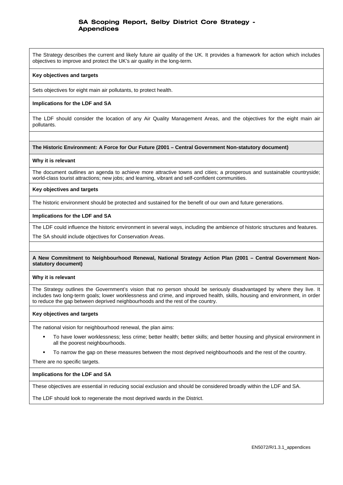The Strategy describes the current and likely future air quality of the UK. It provides a framework for action which includes objectives to improve and protect the UK's air quality in the long-term.

### **Key objectives and targets**

Sets objectives for eight main air pollutants, to protect health.

### **Implications for the LDF and SA**

The LDF should consider the location of any Air Quality Management Areas, and the objectives for the eight main air pollutants.

### **The Historic Environment: A Force for Our Future (2001 – Central Government Non-statutory document)**

#### **Why it is relevant**

The document outlines an agenda to achieve more attractive towns and cities; a prosperous and sustainable countryside; world-class tourist attractions; new jobs; and learning, vibrant and self-confident communities.

### **Key objectives and targets**

The historic environment should be protected and sustained for the benefit of our own and future generations.

#### **Implications for the LDF and SA**

The LDF could influence the historic environment in several ways, including the ambience of historic structures and features.

The SA should include objectives for Conservation Areas.

### **A New Commitment to Neighbourhood Renewal, National Strategy Action Plan (2001 – Central Government Nonstatutory document)**

#### **Why it is relevant**

The Strategy outlines the Government's vision that no person should be seriously disadvantaged by where they live. It includes two long-term goals; lower worklessness and crime, and improved health, skills, housing and environment, in order to reduce the gap between deprived neighbourhoods and the rest of the country.

### **Key objectives and targets**

The national vision for neighbourhood renewal, the plan aims:

- To have lower worklessness; less crime; better health; better skills; and better housing and physical environment in all the poorest neighbourhoods.
- To narrow the gap on these measures between the most deprived neighbourhoods and the rest of the country.

There are no specific targets.

### **Implications for the LDF and SA**

These objectives are essential in reducing social exclusion and should be considered broadly within the LDF and SA.

The LDF should look to regenerate the most deprived wards in the District.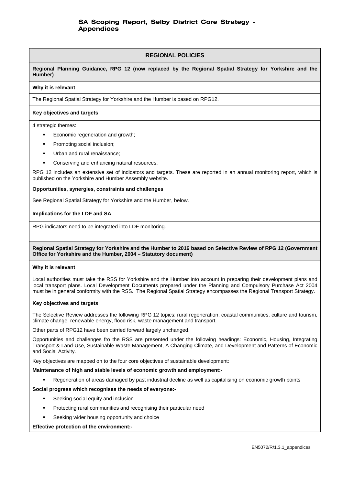### **REGIONAL POLICIES**

**Regional Planning Guidance, RPG 12 (now replaced by the Regional Spatial Strategy for Yorkshire and the Humber)** 

#### **Why it is relevant**

The Regional Spatial Strategy for Yorkshire and the Humber is based on RPG12.

### **Key objectives and targets**

4 strategic themes:

- Economic regeneration and growth;
- Promoting social inclusion;
- Urban and rural renaissance;
- Conserving and enhancing natural resources.

RPG 12 includes an extensive set of indicators and targets. These are reported in an annual monitoring report, which is published on the Yorkshire and Humber Assembly website.

#### **Opportunities, synergies, constraints and challenges**

See Regional Spatial Strategy for Yorkshire and the Humber, below.

### **Implications for the LDF and SA**

RPG indicators need to be integrated into LDF monitoring.

### **Regional Spatial Strategy for Yorkshire and the Humber to 2016 based on Selective Review of RPG 12 (Government Office for Yorkshire and the Humber, 2004 – Statutory document)**

### **Why it is relevant**

Local authorities must take the RSS for Yorkshire and the Humber into account in preparing their development plans and local transport plans. Local Development Documents prepared under the Planning and Compulsory Purchase Act 2004 must be in general conformity with the RSS. The Regional Spatial Strategy encompasses the Regional Transport Strategy.

### **Key objectives and targets**

The Selective Review addresses the following RPG 12 topics: rural regeneration, coastal communities, culture and tourism, climate change, renewable energy, flood risk, waste management and transport.

Other parts of RPG12 have been carried forward largely unchanged.

Opportunities and challenges fro the RSS are presented under the following headings: Economic, Housing, Integrating Transport & Land-Use, Sustainable Waste Management, A Changing Climate, and Development and Patterns of Economic and Social Activity.

Key objectives are mapped on to the four core objectives of sustainable development:

#### **Maintenance of high and stable levels of economic growth and employment:-**

Regeneration of areas damaged by past industrial decline as well as capitalising on economic growth points

### **Social progress which recognises the needs of everyone:-**

- Seeking social equity and inclusion
- Protecting rural communities and recognising their particular need
- Seeking wider housing opportunity and choice

### **Effective protection of the environment:-**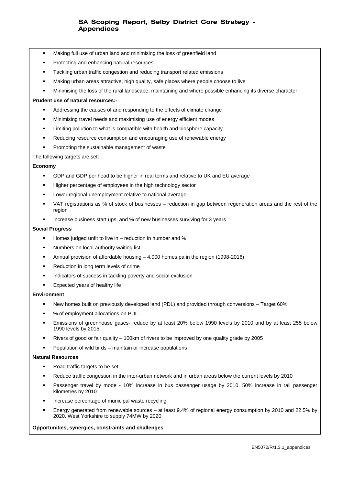- Making full use of urban land and minimising the loss of greenfield land
- **Protecting and enhancing natural resources**
- **Tackling urban traffic congestion and reducing transport related emissions**
- Making urban areas attractive, high quality, safe places where people choose to live
- Minimising the loss of the rural landscape, maintaining and where possible enhancing its diverse character

#### **Prudent use of natural resources:-**

- Addressing the causes of and responding to the effects of climate change
- Minimising travel needs and maximising use of energy efficient modes
- Limiting pollution to what is compatible with health and biosphere capacity
- Reducing resource consumption and encouraging use of renewable energy
- Promoting the sustainable management of waste

The following targets are set:

### **Economy**

- GDP and GDP per head to be higher in real terms and relative to UK and EU average
- **Higher percentage of employees in the high technology sector**
- Lower regional unemployment relative to national average
- VAT registrations as % of stock of businesses reduction in gap between regeneration areas and the rest of the region
- Increase business start ups, and % of new businesses surviving for 3 years

#### **Social Progress**

- Homes judged unfit to live in  $-$  reduction in number and  $%$
- Numbers on local authority waiting list
- Annual provision of affordable housing 4,000 homes pa in the region (1998-2016)
- **Reduction in long term levels of crime**
- Indicators of success in tackling poverty and social exclusion
- Expected years of healthy life

### **Environment**

- New homes built on previously developed land (PDL) and provided through conversions Target 60%
- % of employment allocations on PDL
- Emissions of greenhouse gases- reduce by at least 20% below 1990 levels by 2010 and by at least 255 below 1990 levels by 2015
- Rivers of good or fair quality 100km of rivers to be improved by one quality grade by 2005
- Population of wild birds maintain or increase populations

#### **Natural Resources**

- Road traffic targets to be set
- Reduce traffic congestion in the inter-urban network and in urban areas below the current levels by 2010
- Passenger travel by mode 10% increase in bus passenger usage by 2010. 50% increase in rail passenger kilometres by 2010
- Increase percentage of municipal waste recycling
- Energy generated from renewable sources at least 9.4% of regional energy consumption by 2010 and 22.5% by 2020. West Yorkshire to supply 74MW by 2020

#### **Opportunities, synergies, constraints and challenges**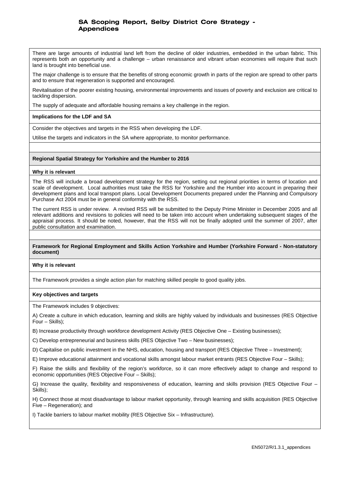There are large amounts of industrial land left from the decline of older industries, embedded in the urban fabric. This represents both an opportunity and a challenge – urban renaissance and vibrant urban economies will require that such land is brought into beneficial use.

The major challenge is to ensure that the benefits of strong economic growth in parts of the region are spread to other parts and to ensure that regeneration is supported and encouraged.

Revitalisation of the poorer existing housing, environmental improvements and issues of poverty and exclusion are critical to tackling dispersion.

The supply of adequate and affordable housing remains a key challenge in the region.

### **Implications for the LDF and SA**

Consider the objectives and targets in the RSS when developing the LDF.

Utilise the targets and indicators in the SA where appropriate, to monitor performance.

### **Regional Spatial Strategy for Yorkshire and the Humber to 2016**

#### **Why it is relevant**

The RSS will include a broad development strategy for the region, setting out regional priorities in terms of location and scale of development. Local authorities must take the RSS for Yorkshire and the Humber into account in preparing their development plans and local transport plans. Local Development Documents prepared under the Planning and Compulsory Purchase Act 2004 must be in general conformity with the RSS.

The current RSS is under review. A revised RSS will be submitted to the Deputy Prime Minister in December 2005 and all relevant additions and revisions to policies will need to be taken into account when undertaking subsequent stages of the appraisal process. It should be noted, however, that the RSS will not be finally adopted until the summer of 2007, after public consultation and examination.

### **Framework for Regional Employment and Skills Action Yorkshire and Humber (Yorkshire Forward - Non-statutory document)**

### **Why it is relevant**

The Framework provides a single action plan for matching skilled people to good quality jobs.

#### **Key objectives and targets**

The Framework includes 9 objectives:

A) Create a culture in which education, learning and skills are highly valued by individuals and businesses (RES Objective Four – Skills);

B) Increase productivity through workforce development Activity (RES Objective One – Existing businesses);

C) Develop entrepreneurial and business skills (RES Objective Two – New businesses);

D) Capitalise on public investment in the NHS, education, housing and transport (RES Objective Three – Investment);

E) Improve educational attainment and vocational skills amongst labour market entrants (RES Objective Four – Skills);

F) Raise the skills and flexibility of the region's workforce, so it can more effectively adapt to change and respond to economic opportunities (RES Objective Four – Skills);

G) Increase the quality, flexibility and responsiveness of education, learning and skills provision (RES Objective Four – Skills);

H) Connect those at most disadvantage to labour market opportunity, through learning and skills acquisition (RES Objective Five – Regeneration); and

I) Tackle barriers to labour market mobility (RES Objective Six – Infrastructure).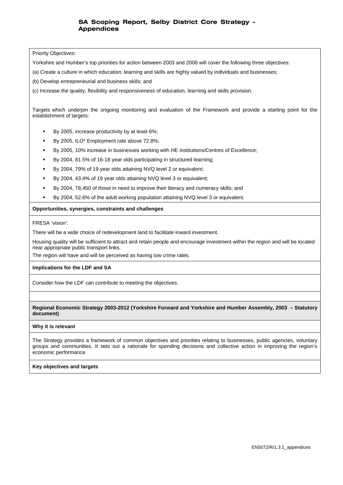Priority Objectives:

Yorkshire and Humber's top priorities for action between 2003 and 2006 will cover the following three objectives:

(a) Create a culture in which education, learning and skills are highly valued by individuals and businesses;

(b) Develop entrepreneurial and business skills; and

(c) Increase the quality, flexibility and responsiveness of education, learning and skills provision.

Targets which underpin the ongoing monitoring and evaluation of the Framework and provide a starting point for the establishment of targets:

- By 2005, increase productivity by at least 6%;
- By 2005, ILO\* Employment rate above 72.8%;
- By 2005, 10% increase in businesses working with HE institutions/Centres of Excellence;
- By 2004, 81.5% of 16-18 year olds participating in structured learning;
- By 2004, 79% of 19 year olds attaining NVQ level 2 or equivalent;
- By 2004, 43.4% of 19 year olds attaining NVQ level 3 or equivalent;
- By 2004, 78,450 of those in need to improve their literacy and numeracy skills; and
- By 2004, 52.6% of the adult working population attaining NVQ level 3 or equivalent.

#### **Opportunities, synergies, constraints and challenges**

FRESA 'vision':

There will be a wide choice of redevelopment land to facilitate inward investment.

Housing quality will be sufficient to attract and retain people and encourage investment within the region and will be located near appropriate public transport links.

The region will have and will be perceived as having low crime rates.

### **Implications for the LDF and SA**

Consider how the LDF can contribute to meeting the objectives.

**Regional Economic Strategy 2003-2012 (Yorkshire Forward and Yorkshire and Humber Assembly, 2003 – Statutory document)** 

### **Why it is relevant**

The Strategy provides a framework of common objectives and priorities relating to businesses, public agencies, voluntary groups and communities. It sets out a rationale for spending decisions and collective action in improving the region's economic performance.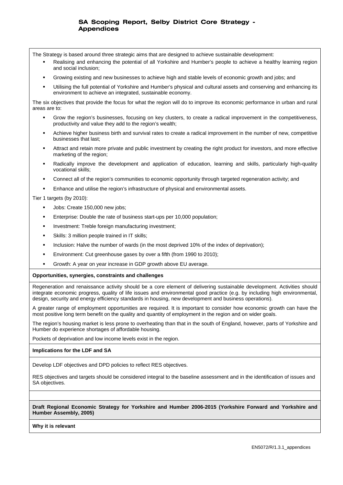The Strategy is based around three strategic aims that are designed to achieve sustainable development:

- Realising and enhancing the potential of all Yorkshire and Humber's people to achieve a healthy learning region and social inclusion;
- Growing existing and new businesses to achieve high and stable levels of economic growth and jobs; and
- Utilising the full potential of Yorkshire and Humber's physical and cultural assets and conserving and enhancing its environment to achieve an integrated, sustainable economy.

The six objectives that provide the focus for what the region will do to improve its economic performance in urban and rural areas are to:

- Grow the region's businesses, focusing on key clusters, to create a radical improvement in the competitiveness, productivity and value they add to the region's wealth;
- Achieve higher business birth and survival rates to create a radical improvement in the number of new, competitive businesses that last;
- Attract and retain more private and public investment by creating the right product for investors, and more effective marketing of the region;
- Radically improve the development and application of education, learning and skills, particularly high-quality vocational skills;
- Connect all of the region's communities to economic opportunity through targeted regeneration activity; and
- Enhance and utilise the region's infrastructure of physical and environmental assets.

Tier 1 targets (by 2010):

- Jobs: Create 150,000 new jobs;
- Enterprise: Double the rate of business start-ups per 10,000 population;
- Investment: Treble foreign manufacturing investment;
- **Skills: 3 million people trained in IT skills;**
- Inclusion: Halve the number of wards (in the most deprived 10% of the index of deprivation);
- Environment: Cut greenhouse gases by over a fifth (from 1990 to 2010);
- Growth: A year on year increase in GDP growth above EU average.

#### **Opportunities, synergies, constraints and challenges**

Regeneration and renaissance activity should be a core element of delivering sustainable development. Activities should integrate economic progress, quality of life issues and environmental good practice (e.g. by including high environmental, design, security and energy efficiency standards in housing, new development and business operations).

A greater range of employment opportunities are required. It is important to consider how economic growth can have the most positive long term benefit on the quality and quantity of employment in the region and on wider goals.

The region's housing market is less prone to overheating than that in the south of England, however, parts of Yorkshire and Humber do experience shortages of affordable housing.

Pockets of deprivation and low income levels exist in the region.

#### **Implications for the LDF and SA**

Develop LDF objectives and DPD policies to reflect RES objectives.

RES objectives and targets should be considered integral to the baseline assessment and in the identification of issues and SA objectives.

**Draft Regional Economic Strategy for Yorkshire and Humber 2006-2015 (Yorkshire Forward and Yorkshire and Humber Assembly, 2005)** 

**Why it is relevant**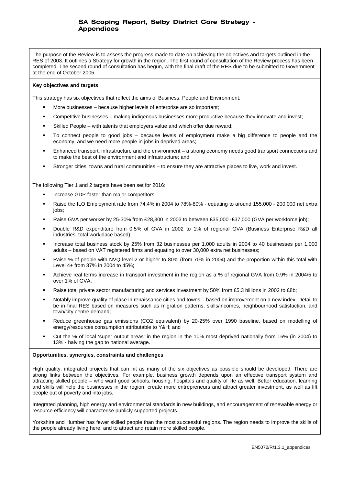The purpose of the Review is to assess the progress made to date on achieving the objectives and targets outlined in the RES of 2003. It outlines a Strategy for growth in the region. The first round of consultation of the Review process has been completed. The second round of consultation has begun, with the final draft of the RES due to be submitted to Government at the end of October 2005.

#### **Key objectives and targets**

This strategy has six objectives that reflect the aims of Business, People and Environment*:*

- More businesses because higher levels of enterprise are so important;
- Competitive businesses making indigenous businesses more productive because they innovate and invest;
- Skilled People with talents that employers value and which offer due reward;
- To connect people to good jobs because levels of employment make a big difference to people and the economy, and we need more people in jobs in deprived areas;
- Enhanced transport, infrastructure and the environment a strong economy needs good transport connections and to make the best of the environment and infrastructure; and
- Stronger cities, towns and rural communities to ensure they are attractive places to live, work and invest.

The following Tier 1 and 2 targets have been set for 2016:

- Increase GDP faster than major competitors
- Raise the ILO Employment rate from 74.4% in 2004 to 78%-80% equating to around 155,000 200,000 net extra iobs:
- Raise GVA per worker by 25-30% from £28,300 in 2003 to between £35,000 -£37,000 (GVA per workforce job);
- Double R&D expenditure from 0.5% of GVA in 2002 to 1% of regional GVA (Business Enterprise R&D all industries, total workplace based);
- Increase total business stock by 25% from 32 businesses per 1,000 adults in 2004 to 40 businesses per 1,000 adults – based on VAT registered firms and equating to over 30,000 extra net businesses;
- Raise % of people with NVQ level 2 or higher to 80% (from 70% in 2004) and the proportion within this total with Level 4+ from 37% in 2004 to 45%;
- Achieve real terms increase in transport investment in the region as a % of regional GVA from 0.9% in 2004/5 to over 1% of GVA;
- Raise total private sector manufacturing and services investment by 50% from £5.3 billions in 2002 to £8b;
- Notably improve quality of place in renaissance cities and towns based on improvement on a new index. Detail to be in final RES based on measures such as migration patterns, skills/incomes, neighbourhood satisfaction, and town/city centre demand;
- Reduce greenhouse gas emissions (CO2 equivalent) by 20-25% over 1990 baseline, based on modelling of energy/resources consumption attributable to Y&H; and
- Cut the % of local 'super output areas' in the region in the 10% most deprived nationally from 16% (in 2004) to 13% - halving the gap to national average.

### **Opportunities, synergies, constraints and challenges**

High quality, integrated projects that can hit as many of the six objectives as possible should be developed. There are strong links between the objectives. For example, business growth depends upon an effective transport system and attracting skilled people – who want good schools, housing, hospitals and quality of life as well. Better education, learning and skills will help the businesses in the region, create more entrepreneurs and attract greater investment, as well as lift people out of poverty and into jobs.

Integrated planning, high energy and environmental standards in new buildings, and encouragement of renewable energy or resource efficiency will characterise publicly supported projects.

Yorkshire and Humber has fewer skilled people than the most successful regions. The region needs to improve the skills of the people already living here, and to attract and retain more skilled people.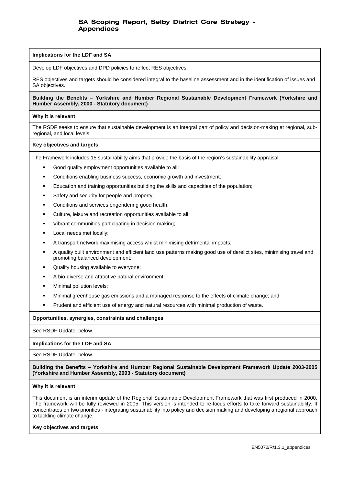#### **Implications for the LDF and SA**

Develop LDF objectives and DPD policies to reflect RES objectives.

RES objectives and targets should be considered integral to the baseline assessment and in the identification of issues and SA objectives.

### **Building the Benefits – Yorkshire and Humber Regional Sustainable Development Framework (Yorkshire and Humber Assembly, 2000 - Statutory document)**

#### **Why it is relevant**

The RSDF seeks to ensure that sustainable development is an integral part of policy and decision-making at regional, subregional, and local levels.

#### **Key objectives and targets**

The Framework includes 15 sustainability aims that provide the basis of the region's sustainability appraisal:

- Good quality employment opportunities available to all;
- Conditions enabling business success, economic growth and investment;
- Education and training opportunities building the skills and capacities of the population;
- Safety and security for people and property;
- **•** Conditions and services engendering good health;
- Culture, leisure and recreation opportunities available to all;
- **•** Vibrant communities participating in decision making;
- Local needs met locally;
- A transport network maximising access whilst minimising detrimental impacts;
- A quality built environment and efficient land use patterns making good use of derelict sites, minimising travel and promoting balanced development;
- Quality housing available to everyone;
- A bio-diverse and attractive natural environment;
- Minimal pollution levels;
- Minimal greenhouse gas emissions and a managed response to the effects of climate change; and
- Prudent and efficient use of energy and natural resources with minimal production of waste.

#### **Opportunities, synergies, constraints and challenges**

See RSDF Update, below.

### **Implications for the LDF and SA**

See RSDF Update, below.

**Building the Benefits – Yorkshire and Humber Regional Sustainable Development Framework Update 2003-2005 (Yorkshire and Humber Assembly, 2003 - Statutory document)** 

#### **Why it is relevant**

This document is an interim update of the Regional Sustainable Development Framework that was first produced in 2000. The framework will be fully reviewed in 2005. This version is intended to re-focus efforts to take forward sustainability. It concentrates on two priorities - integrating sustainability into policy and decision making and developing a regional approach to tackling climate change.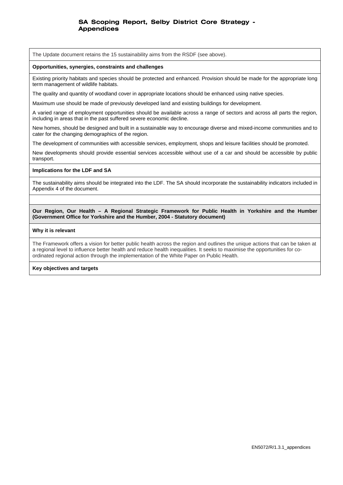The Update document retains the 15 sustainability aims from the RSDF (see above).

#### **Opportunities, synergies, constraints and challenges**

Existing priority habitats and species should be protected and enhanced. Provision should be made for the appropriate long term management of wildlife habitats.

The quality and quantity of woodland cover in appropriate locations should be enhanced using native species.

Maximum use should be made of previously developed land and existing buildings for development.

A varied range of employment opportunities should be available across a range of sectors and across all parts the region, including in areas that in the past suffered severe economic decline.

New homes, should be designed and built in a sustainable way to encourage diverse and mixed-income communities and to cater for the changing demographics of the region.

The development of communities with accessible services, employment, shops and leisure facilities should be promoted.

New developments should provide essential services accessible without use of a car and should be accessible by public transport.

#### **Implications for the LDF and SA**

The sustainability aims should be integrated into the LDF. The SA should incorporate the sustainability indicators included in Appendix 4 of the document.

**Our Region, Our Health – A Regional Strategic Framework for Public Health in Yorkshire and the Humber (Government Office for Yorkshire and the Humber, 2004 - Statutory document)** 

#### **Why it is relevant**

The Framework offers a vision for better public health across the region and outlines the unique actions that can be taken at a regional level to influence better health and reduce health inequalities. It seeks to maximise the opportunities for coordinated regional action through the implementation of the White Paper on Public Health.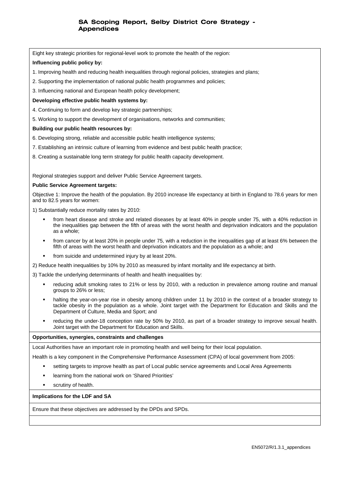Eight key strategic priorities for regional-level work to promote the health of the region:

### **Influencing public policy by:**

- 1. Improving health and reducing health inequalities through regional policies, strategies and plans;
- 2. Supporting the implementation of national public health programmes and policies;

3. Influencing national and European health policy development;

#### **Developing effective public health systems by:**

- 4. Continuing to form and develop key strategic partnerships;
- 5. Working to support the development of organisations, networks and communities;

#### **Building our public health resources by:**

- 6. Developing strong, reliable and accessible public health intelligence systems;
- 7. Establishing an intrinsic culture of learning from evidence and best public health practice;
- 8. Creating a sustainable long term strategy for public health capacity development.

Regional strategies support and deliver Public Service Agreement targets.

#### **Public Service Agreement targets:**

Objective 1: Improve the health of the population. By 2010 increase life expectancy at birth in England to 78.6 years for men and to 82.5 years for women:

1) Substantially reduce mortality rates by 2010:

- from heart disease and stroke and related diseases by at least 40% in people under 75, with a 40% reduction in the inequalities gap between the fifth of areas with the worst health and deprivation indicators and the population as a whole;
- from cancer by at least 20% in people under 75, with a reduction in the inequalities gap of at least 6% between the fifth of areas with the worst health and deprivation indicators and the population as a whole; and
- from suicide and undetermined injury by at least 20%.

2) Reduce health inequalities by 10% by 2010 as measured by infant mortality and life expectancy at birth.

- 3) Tackle the underlying determinants of health and health inequalities by:
	- reducing adult smoking rates to 21% or less by 2010, with a reduction in prevalence among routine and manual groups to 26% or less;
	- halting the year-on-year rise in obesity among children under 11 by 2010 in the context of a broader strategy to tackle obesity in the population as a whole. Joint target with the Department for Education and Skills and the Department of Culture, Media and Sport; and
	- reducing the under-18 conception rate by 50% by 2010, as part of a broader strategy to improve sexual health. Joint target with the Department for Education and Skills.

#### **Opportunities, synergies, constraints and challenges**

Local Authorities have an important role in promoting health and well being for their local population.

Health is a key component in the Comprehensive Performance Assessment (CPA) of local government from 2005:

- setting targets to improve health as part of Local public service agreements and Local Area Agreements
- learning from the national work on 'Shared Priorities'
- **scrutiny of health.**

#### **Implications for the LDF and SA**

Ensure that these objectives are addressed by the DPDs and SPDs.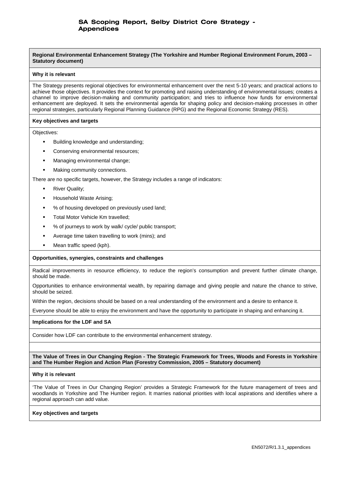**Regional Environmental Enhancement Strategy (The Yorkshire and Humber Regional Environment Forum, 2003 – Statutory document)** 

#### **Why it is relevant**

The Strategy presents regional objectives for environmental enhancement over the next 5-10 years; and practical actions to achieve those objectives. It provides the context for promoting and raising understanding of environmental issues; creates a channel to improve decision-making and community participation; and tries to influence how funds for environmental enhancement are deployed. It sets the environmental agenda for shaping policy and decision-making processes in other regional strategies, particularly Regional Planning Guidance (RPG) and the Regional Economic Strategy (RES).

#### **Key objectives and targets**

Objectives:

- Building knowledge and understanding;
- Conserving environmental resources;
- Managing environmental change;
- Making community connections.

There are no specific targets, however, the Strategy includes a range of indicators:

- River Quality;
- Household Waste Arising;
- % of housing developed on previously used land;
- **Total Motor Vehicle Km travelled;**
- % of journeys to work by walk/ cycle/ public transport;
- Average time taken travelling to work (mins); and
- Mean traffic speed (kph).

#### **Opportunities, synergies, constraints and challenges**

Radical improvements in resource efficiency, to reduce the region's consumption and prevent further climate change, should be made.

Opportunities to enhance environmental wealth, by repairing damage and giving people and nature the chance to strive, should be seized.

Within the region, decisions should be based on a real understanding of the environment and a desire to enhance it.

Everyone should be able to enjoy the environment and have the opportunity to participate in shaping and enhancing it.

#### **Implications for the LDF and SA**

Consider how LDF can contribute to the environmental enhancement strategy.

**The Value of Trees in Our Changing Region - The Strategic Framework for Trees, Woods and Forests in Yorkshire and The Humber Region and Action Plan (Forestry Commission, 2005 – Statutory document)** 

#### **Why it is relevant**

'The Value of Trees in Our Changing Region' provides a Strategic Framework for the future management of trees and woodlands in Yorkshire and The Humber region. It marries national priorities with local aspirations and identifies where a regional approach can add value.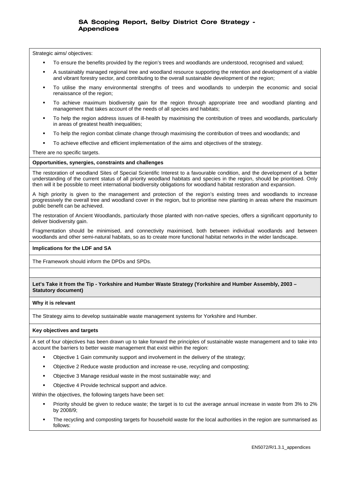Strategic aims/ objectives:

- To ensure the benefits provided by the region's trees and woodlands are understood, recognised and valued;
- A sustainably managed regional tree and woodland resource supporting the retention and development of a viable and vibrant forestry sector, and contributing to the overall sustainable development of the region;
- To utilise the many environmental strengths of trees and woodlands to underpin the economic and social renaissance of the region;
- To achieve maximum biodiversity gain for the region through appropriate tree and woodland planting and management that takes account of the needs of all species and habitats;
- To help the region address issues of ill-health by maximising the contribution of trees and woodlands, particularly in areas of greatest health inequalities;
- To help the region combat climate change through maximising the contribution of trees and woodlands; and
- To achieve effective and efficient implementation of the aims and objectives of the strategy.

There are no specific targets.

### **Opportunities, synergies, constraints and challenges**

The restoration of woodland Sites of Special Scientific Interest to a favourable condition, and the development of a better understanding of the current status of all priority woodland habitats and species in the region, should be prioritised. Only then will it be possible to meet international biodiversity obligations for woodland habitat restoration and expansion.

A high priority is given to the management and protection of the region's existing trees and woodlands to increase progressively the overall tree and woodland cover in the region, but to prioritise new planting in areas where the maximum public benefit can be achieved.

The restoration of Ancient Woodlands, particularly those planted with non-native species, offers a significant opportunity to deliver biodiversity gain.

Fragmentation should be minimised, and connectivity maximised, both between individual woodlands and between woodlands and other semi-natural habitats, so as to create more functional habitat networks in the wider landscape.

### **Implications for the LDF and SA**

The Framework should inform the DPDs and SPDs.

### **Let's Take it from the Tip - Yorkshire and Humber Waste Strategy (Yorkshire and Humber Assembly, 2003 – Statutory document)**

#### **Why it is relevant**

The Strategy aims to develop sustainable waste management systems for Yorkshire and Humber.

#### **Key objectives and targets**

A set of four objectives has been drawn up to take forward the principles of sustainable waste management and to take into account the barriers to better waste management that exist within the region:

- Objective 1 Gain community support and involvement in the delivery of the strategy;
- Objective 2 Reduce waste production and increase re-use, recycling and composting;
- Objective 3 Manage residual waste in the most sustainable way; and
- Objective 4 Provide technical support and advice.

Within the objectives, the following targets have been set:

- Priority should be given to reduce waste; the target is to cut the average annual increase in waste from 3% to 2% by 2008/9;
- The recycling and composting targets for household waste for the local authorities in the region are summarised as follows: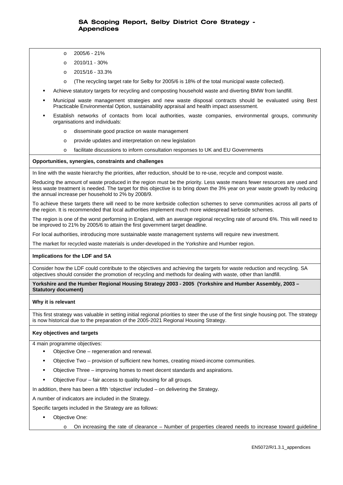- o 2005/6 21%
- o 2010/11 30%
- o 2015/16 33.3%
- o (The recycling target rate for Selby for 2005/6 is 18% of the total municipal waste collected).
- Achieve statutory targets for recycling and composting household waste and diverting BMW from landfill.
- Municipal waste management strategies and new waste disposal contracts should be evaluated using Best Practicable Environmental Option, sustainability appraisal and health impact assessment.
- Establish networks of contacts from local authorities, waste companies, environmental groups, community organisations and individuals:
	- o disseminate good practice on waste management
	- o provide updates and interpretation on new legislation
	- o facilitate discussions to inform consultation responses to UK and EU Governments

#### **Opportunities, synergies, constraints and challenges**

In line with the waste hierarchy the priorities, after reduction, should be to re-use, recycle and compost waste.

Reducing the amount of waste produced in the region must be the priority. Less waste means fewer resources are used and less waste treatment is needed. The target for this objective is to bring down the 3% year on year waste growth by reducing the annual increase per household to 2% by 2008/9.

To achieve these targets there will need to be more kerbside collection schemes to serve communities across all parts of the region. It is recommended that local authorities implement much more widespread kerbside schemes.

The region is one of the worst performing in England, with an average regional recycling rate of around 6%. This will need to be improved to 21% by 2005/6 to attain the first government target deadline.

For local authorities, introducing more sustainable waste management systems will require new investment.

The market for recycled waste materials is under-developed in the Yorkshire and Humber region.

#### **Implications for the LDF and SA**

Consider how the LDF could contribute to the objectives and achieving the targets for waste reduction and recycling. SA objectives should consider the promotion of recycling and methods for dealing with waste, other than landfill.

**Yorkshire and the Humber Regional Housing Strategy 2003 - 2005 (Yorkshire and Humber Assembly, 2003 – Statutory document)**

#### **Why it is relevant**

This first strategy was valuable in setting initial regional priorities to steer the use of the first single housing pot. The strategy is now historical due to the preparation of the 2005-2021 Regional Housing Strategy.

#### **Key objectives and targets**

4 main programme objectives:

- Objective One regeneration and renewal.
- Objective Two provision of sufficient new homes, creating mixed-income communities.
- Objective Three improving homes to meet decent standards and aspirations.
- Objective Four fair access to quality housing for all groups.

In addition, there has been a fifth 'objective' included – on delivering the Strategy.

A number of indicators are included in the Strategy.

Specific targets included in the Strategy are as follows:

- Objective One:
	- On increasing the rate of clearance Number of properties cleared needs to increase toward guideline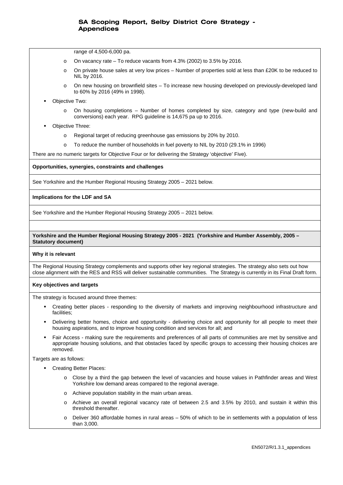range of 4,500-6,000 pa.

- On vacancy rate To reduce vacants from  $4.3\%$  (2002) to  $3.5\%$  by 2016.
- o On private house sales at very low prices Number of properties sold at less than £20K to be reduced to NIL by 2016.
- o On new housing on brownfield sites To increase new housing developed on previously-developed land to 60% by 2016 (49% in 1998).
- Objective Two:
	- o On housing completions Number of homes completed by size, category and type (new-build and conversions) each year. RPG guideline is 14,675 pa up to 2016.
- Objective Three:
	- o Regional target of reducing greenhouse gas emissions by 20% by 2010.
	- o To reduce the number of households in fuel poverty to NIL by 2010 (29.1% in 1996)

There are no numeric targets for Objective Four or for delivering the Strategy 'objective' Five).

#### **Opportunities, synergies, constraints and challenges**

See Yorkshire and the Humber Regional Housing Strategy 2005 – 2021 below.

#### **Implications for the LDF and SA**

See Yorkshire and the Humber Regional Housing Strategy 2005 – 2021 below.

#### **Yorkshire and the Humber Regional Housing Strategy 2005 - 2021 (Yorkshire and Humber Assembly, 2005 – Statutory document)**

#### **Why it is relevant**

The Regional Housing Strategy complements and supports other key regional strategies. The strategy also sets out how close alignment with the RES and RSS will deliver sustainable communities. The Strategy is currently in its Final Draft form.

#### **Key objectives and targets**

The strategy is focused around three themes:

- Creating better places responding to the diversity of markets and improving neighbourhood infrastructure and facilities;
- Delivering better homes, choice and opportunity delivering choice and opportunity for all people to meet their housing aspirations, and to improve housing condition and services for all; and
- Fair Access making sure the requirements and preferences of all parts of communities are met by sensitive and appropriate housing solutions, and that obstacles faced by specific groups to accessing their housing choices are removed.

Targets are as follows:

- Creating Better Places:
	- o Close by a third the gap between the level of vacancies and house values in Pathfinder areas and West Yorkshire low demand areas compared to the regional average.
	- o Achieve population stability in the main urban areas.
	- o Achieve an overall regional vacancy rate of between 2.5 and 3.5% by 2010, and sustain it within this threshold thereafter.
	- o Deliver 360 affordable homes in rural areas 50% of which to be in settlements with a population of less than 3,000.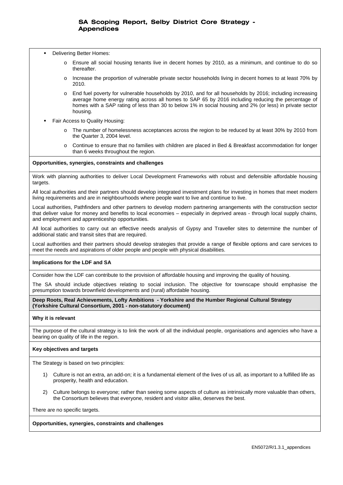- Delivering Better Homes:
	- o Ensure all social housing tenants live in decent homes by 2010, as a minimum, and continue to do so thereafter.
	- o Increase the proportion of vulnerable private sector households living in decent homes to at least 70% by 2010.
	- o End fuel poverty for vulnerable households by 2010, and for all households by 2016; including increasing average home energy rating across all homes to SAP 65 by 2016 including reducing the percentage of homes with a SAP rating of less than 30 to below 1% in social housing and 2% (or less) in private sector housing.
- Fair Access to Quality Housing:
	- o The number of homelessness acceptances across the region to be reduced by at least 30% by 2010 from the Quarter 3, 2004 level.
	- o Continue to ensure that no families with children are placed in Bed & Breakfast accommodation for longer than 6 weeks throughout the region.

### **Opportunities, synergies, constraints and challenges**

Work with planning authorities to deliver Local Development Frameworks with robust and defensible affordable housing targets.

All local authorities and their partners should develop integrated investment plans for investing in homes that meet modern living requirements and are in neighbourhoods where people want to live and continue to live.

Local authorities, Pathfinders and other partners to develop modern partnering arrangements with the construction sector that deliver value for money and benefits to local economies – especially in deprived areas - through local supply chains, and employment and apprenticeship opportunities.

All local authorities to carry out an effective needs analysis of Gypsy and Traveller sites to determine the number of additional static and transit sites that are required.

Local authorities and their partners should develop strategies that provide a range of flexible options and care services to meet the needs and aspirations of older people and people with physical disabilities.

### **Implications for the LDF and SA**

Consider how the LDF can contribute to the provision of affordable housing and improving the quality of housing.

The SA should include objectives relating to social inclusion. The objective for townscape should emphasise the presumption towards brownfield developments and (rural) affordable housing.

**Deep Roots, Real Achievements, Lofty Ambitions - Yorkshire and the Humber Regional Cultural Strategy (Yorkshire Cultural Consortium, 2001 - non-statutory document)** 

### **Why it is relevant**

The purpose of the cultural strategy is to link the work of all the individual people, organisations and agencies who have a bearing on quality of life in the region.

### **Key objectives and targets**

The Strategy is based on two principles:

- 1) Culture is not an extra, an add-on; it is a fundamental element of the lives of us all, as important to a fulfilled life as prosperity, health and education.
- 2) Culture belongs to everyone; rather than seeing some aspects of culture as intrinsically more valuable than others, the Consortium believes that everyone, resident and visitor alike, deserves the best.

There are no specific targets.

### **Opportunities, synergies, constraints and challenges**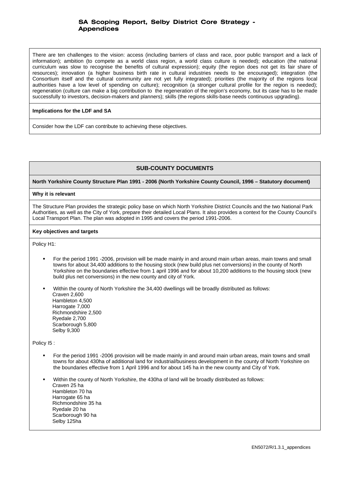There are ten challenges to the vision: access (including barriers of class and race, poor public transport and a lack of information); ambition (to compete as a world class region, a world class culture is needed); education (the national curriculum was slow to recognise the benefits of cultural expression); equity (the region does not get its fair share of resources); innovation (a higher business birth rate in cultural industries needs to be encouraged); integration (the Consortium itself and the cultural community are not yet fully integrated); priorities (the majority of the regions local authorities have a low level of spending on culture); recognition (a stronger cultural profile for the region is needed); regeneration (culture can make a big contribution to the regeneration of the region's economy, but its case has to be made successfully to investors, decision-makers and planners); skills (the regions skills-base needs continuous upgrading).

### **Implications for the LDF and SA**

Consider how the LDF can contribute to achieving these objectives.

# **SUB-COUNTY DOCUMENTS**

**North Yorkshire County Structure Plan 1991 - 2006 (North Yorkshire County Council, 1996 – Statutory document)** 

### **Why it is relevant**

The Structure Plan provides the strategic policy base on which North Yorkshire District Councils and the two National Park Authorities, as well as the City of York, prepare their detailed Local Plans. It also provides a context for the County Council's Local Transport Plan. The plan was adopted in 1995 and covers the period 1991-2006.

#### **Key objectives and targets**

Policy H1:

- For the period 1991 -2006, provision will be made mainly in and around main urban areas, main towns and small towns for about 34,400 additions to the housing stock (new build plus net conversions) in the county of North Yorkshire on the boundaries effective from 1 april 1996 and for about 10,200 additions to the housing stock (new build plus net conversions) in the new county and city of York.
- Within the county of North Yorkshire the 34,400 dwellings will be broadly distributed as follows: Craven 2,600 Hambleton 4,500 Harrogate 7,000 Richmondshire 2,500 Ryedale 2,700 Scarborough 5,800 Selby 9,300

Policy I5 :

- For the period 1991 -2006 provision will be made mainly in and around main urban areas, main towns and small towns for about 430ha of additional land for industrial/business development in the county of North Yorkshire on the boundaries effective from 1 April 1996 and for about 145 ha in the new county and City of York.
- Within the county of North Yorkshire, the 430ha of land will be broadly distributed as follows: Craven 25 ha Hambleton 70 ha Harrogate 65 ha Richmondshire 35 ha Ryedale 20 ha Scarborough 90 ha Selby 125ha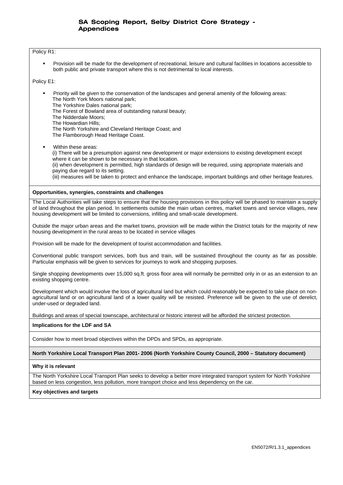#### Policy R1:

 Provision will be made for the development of recreational, leisure and cultural facilities in locations accessible to both public and private transport where this is not detrimental to local interests.

Policy E1:

- Priority will be given to the conservation of the landscapes and general amenity of the following areas: The North York Moors national park;
	- The Yorkshire Dales national park;
	- The Forest of Bowland area of outstanding natural beauty;
	- The Nidderdale Moors;
	- The Howardian Hills;
	- The North Yorkshire and Cleveland Heritage Coast; and
	- The Flamborough Head Heritage Coast.
	- Within these areas: (i) There will be a presumption against new development or major extensions to existing development except where it can be shown to be necessary in that location.

(ii) when development is permitted, high standards of design will be required, using appropriate materials and paying due regard to its setting.

(iii) measures will be taken to protect and enhance the landscape, important buildings and other heritage features.

#### **Opportunities, synergies, constraints and challenges**

The Local Authorities will take steps to ensure that the housing provisions in this policy will be phased to maintain a supply of land throughout the plan period. In settlements outside the main urban centres, market towns and service villages, new housing development will be limited to conversions, infilling and small-scale development.

Outside the major urban areas and the market towns, provision will be made within the District totals for the majority of new housing development in the rural areas to be located in service villages

Provision will be made for the development of tourist accommodation and facilities.

Conventional public transport services, both bus and train, will be sustained throughout the county as far as possible. Particular emphasis will be given to services for journeys to work and shopping purposes.

Single shopping developments over 15,000 sq.ft. gross floor area will normally be permitted only in or as an extension to an existing shopping centre.

Development which would involve the loss of agricultural land but which could reasonably be expected to take place on nonagricultural land or on agricultural land of a lower quality will be resisted. Preference will be given to the use of derelict, under-used or degraded land.

Buildings and areas of special townscape, architectural or historic interest will be afforded the strictest protection.

### **Implications for the LDF and SA**

Consider how to meet broad objectives within the DPDs and SPDs, as appropriate.

### **North Yorkshire Local Transport Plan 2001- 2006 (North Yorkshire County Council, 2000 – Statutory document)**

#### **Why it is relevant**

The North Yorkshire Local Transport Plan seeks to develop a better more integrated transport system for North Yorkshire based on less congestion, less pollution, more transport choice and less dependency on the car.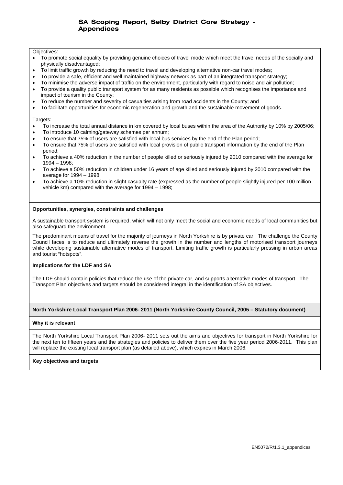#### Objectives:

- To promote social equality by providing genuine choices of travel mode which meet the travel needs of the socially and physically disadvantaged;
- To limit traffic growth by reducing the need to travel and developing alternative non-car travel modes;
- To provide a safe, efficient and well maintained highway network as part of an integrated transport strategy;
- To minimise the adverse impact of traffic on the environment, particularly with regard to noise and air pollution;
- To provide a quality public transport system for as many residents as possible which recognises the importance and impact of tourism in the County;
- To reduce the number and severity of casualties arising from road accidents in the County; and
- To facilitate opportunities for economic regeneration and growth and the sustainable movement of goods.

#### Targets:

- To increase the total annual distance in km covered by local buses within the area of the Authority by 10% by 2005/06;
- To introduce 10 calming/gateway schemes per annum;
- To ensure that 75% of users are satisfied with local bus services by the end of the Plan period;
- To ensure that 75% of users are satisfied with local provision of public transport information by the end of the Plan period;
- To achieve a 40% reduction in the number of people killed or seriously injured by 2010 compared with the average for 1994 – 1998;
- To achieve a 50% reduction in children under 16 years of age killed and seriously injured by 2010 compared with the average for 1994 – 1998;
- To achieve a 10% reduction in slight casualty rate (expressed as the number of people slightly injured per 100 million vehicle km) compared with the average for 1994 – 1998;

### **Opportunities, synergies, constraints and challenges**

A sustainable transport system is required, which will not only meet the social and economic needs of local communities but also safeguard the environment.

The predominant means of travel for the majority of journeys in North Yorkshire is by private car. The challenge the County Council faces is to reduce and ultimately reverse the growth in the number and lengths of motorised transport journeys while developing sustainable alternative modes of transport. Limiting traffic growth is particularly pressing in urban areas and tourist "hotspots".

### **Implications for the LDF and SA**

The LDF should contain policies that reduce the use of the private car, and supports alternative modes of transport. The Transport Plan objectives and targets should be considered integral in the identification of SA objectives.

### **North Yorkshire Local Transport Plan 2006- 2011 (North Yorkshire County Council, 2005 – Statutory document)**

### **Why it is relevant**

The North Yorkshire Local Transport Plan 2006- 2011 sets out the aims and objectives for transport in North Yorkshire for the next ten to fifteen years and the strategies and policies to deliver them over the five year period 2006-2011. This plan will replace the existing local transport plan (as detailed above), which expires in March 2006.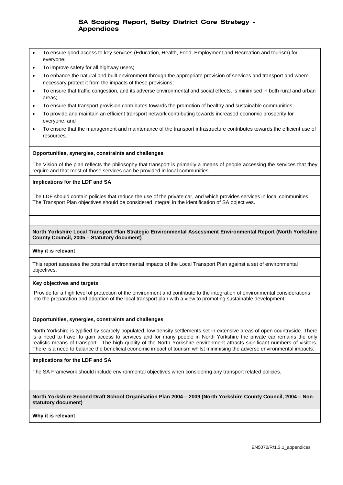- To ensure good access to key services (Education, Health, Food, Employment and Recreation and tourism) for everyone;
- To improve safety for all highway users;
- To enhance the natural and built environment through the appropriate provision of services and transport and where necessary protect it from the impacts of these provisions;
- To ensure that traffic congestion, and its adverse environmental and social effects, is minimised in both rural and urban areas;
- To ensure that transport provision contributes towards the promotion of healthy and sustainable communities;
- To provide and maintain an efficient transport network contributing towards increased economic prosperity for everyone; and
- To ensure that the management and maintenance of the transport infrastructure contributes towards the efficient use of resources.

### **Opportunities, synergies, constraints and challenges**

The Vision of the plan reflects the philosophy that transport is primarily a means of people accessing the services that they require and that most of those services can be provided in local communities.

### **Implications for the LDF and SA**

The LDF should contain policies that reduce the use of the private car, and which provides services in local communities. The Transport Plan objectives should be considered integral in the identification of SA objectives.

### **North Yorkshire Local Transport Plan Strategic Environmental Assessment Environmental Report (North Yorkshire County Council, 2005 – Statutory document)**

### **Why it is relevant**

This report assesses the potential environmental impacts of the Local Transport Plan against a set of environmental objectives.

### **Key objectives and targets**

 Provide for a high level of protection of the environment and contribute to the integration of environmental considerations into the preparation and adoption of the local transport plan with a view to promoting sustainable development.

### **Opportunities, synergies, constraints and challenges**

North Yorkshire is typified by scarcely populated, low density settlements set in extensive areas of open countryside. There is a need to travel to gain access to services and for many people in North Yorkshire the private car remains the only realistic means of transport. The high quality of the North Yorkshire environment attracts significant numbers of visitors. There is a need to balance the beneficial economic impact of tourism whilst minimising the adverse environmental impacts.

### **Implications for the LDF and SA**

The SA Framework should include environmental objectives when considering any transport related policies.

**North Yorkshire Second Draft School Organisation Plan 2004 – 2009 (North Yorkshire County Council, 2004 – Nonstatutory document)** 

### **Why it is relevant**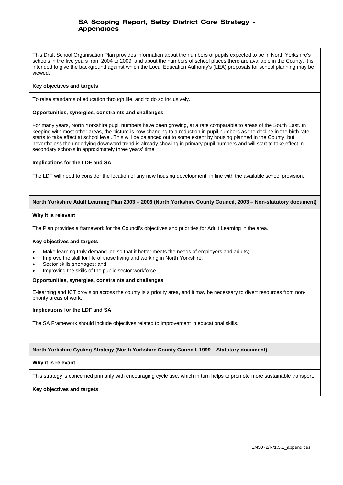This Draft School Organisation Plan provides information about the numbers of pupils expected to be in North Yorkshire's schools in the five years from 2004 to 2009, and about the numbers of school places there are available in the County. It is intended to give the background against which the Local Education Authority's (LEA) proposals for school planning may be viewed.

### **Key objectives and targets**

To raise standards of education through life, and to do so inclusively.

### **Opportunities, synergies, constraints and challenges**

For many years, North Yorkshire pupil numbers have been growing, at a rate comparable to areas of the South East. In keeping with most other areas, the picture is now changing to a reduction in pupil numbers as the decline in the birth rate starts to take effect at school level. This will be balanced out to some extent by housing planned in the County, but nevertheless the underlying downward trend is already showing in primary pupil numbers and will start to take effect in secondary schools in approximately three years' time.

### **Implications for the LDF and SA**

The LDF will need to consider the location of any new housing development, in line with the available school provision.

### **North Yorkshire Adult Learning Plan 2003 – 2006 (North Yorkshire County Council, 2003 – Non-statutory document)**

### **Why it is relevant**

The Plan provides a framework for the Council's objectives and priorities for Adult Learning in the area.

### **Key objectives and targets**

- Make learning truly demand-led so that it better meets the needs of employers and adults;
- Improve the skill for life of those living and working in North Yorkshire;
- Sector skills shortages; and
- Improving the skills of the public sector workforce.

### **Opportunities, synergies, constraints and challenges**

E-learning and ICT provision across the county is a priority area, and it may be necessary to divert resources from nonpriority areas of work.

### **Implications for the LDF and SA**

The SA Framework should include objectives related to improvement in educational skills.

### **North Yorkshire Cycling Strategy (North Yorkshire County Council, 1999 – Statutory document)**

### **Why it is relevant**

This strategy is concerned primarily with encouraging cycle use, which in turn helps to promote more sustainable transport.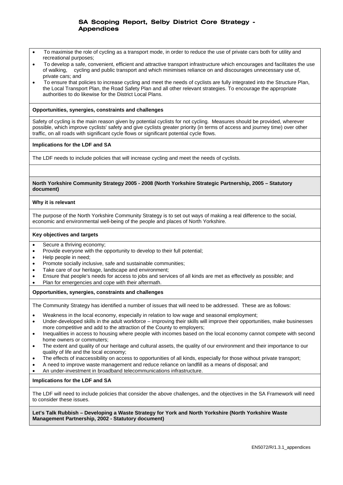- To maximise the role of cycling as a transport mode, in order to reduce the use of private cars both for utility and recreational purposes;
- To develop a safe, convenient, efficient and attractive transport infrastructure which encourages and facilitates the use of walking, cycling and public transport and which minimises reliance on and discourages unnecessary use of, private cars; and
- To ensure that policies to increase cycling and meet the needs of cyclists are fully integrated into the Structure Plan, the Local Transport Plan, the Road Safety Plan and all other relevant strategies. To encourage the appropriate authorities to do likewise for the District Local Plans.

### **Opportunities, synergies, constraints and challenges**

Safety of cycling is the main reason given by potential cyclists for not cycling. Measures should be provided, wherever possible, which improve cyclists' safety and give cyclists greater priority (in terms of access and journey time) over other traffic, on all roads with significant cycle flows or significant potential cycle flows.

### **Implications for the LDF and SA**

The LDF needs to include policies that will increase cycling and meet the needs of cyclists.

### **North Yorkshire Community Strategy 2005 - 2008 (North Yorkshire Strategic Partnership, 2005 – Statutory document)**

### **Why it is relevant**

The purpose of the North Yorkshire Community Strategy is to set out ways of making a real difference to the social, economic and environmental well-being of the people and places of North Yorkshire.

### **Key objectives and targets**

- Secure a thriving economy;
- Provide everyone with the opportunity to develop to their full potential;
- Help people in need;
- Promote socially inclusive, safe and sustainable communities;
- Take care of our heritage, landscape and environment;
- Ensure that people's needs for access to jobs and services of all kinds are met as effectively as possible; and
- Plan for emergencies and cope with their aftermath.

### **Opportunities, synergies, constraints and challenges**

The Community Strategy has identified a number of issues that will need to be addressed. These are as follows:

- Weakness in the local economy, especially in relation to low wage and seasonal employment;
- Under-developed skills in the adult workforce improving their skills will improve their opportunities, make businesses more competitive and add to the attraction of the County to employers;
- Inequalities in access to housing where people with incomes based on the local economy cannot compete with second home owners or commuters;
- The extent and quality of our heritage and cultural assets, the quality of our environment and their importance to our quality of life and the local economy;
- The effects of inaccessibility on access to opportunities of all kinds, especially for those without private transport;
- A need to improve waste management and reduce reliance on landfill as a means of disposal; and
- An under-investment in broadband telecommunications infrastructure.

### **Implications for the LDF and SA**

The LDF will need to include policies that consider the above challenges, and the objectives in the SA Framework will need to consider these issues.

### **Let's Talk Rubbish – Developing a Waste Strategy for York and North Yorkshire (North Yorkshire Waste Management Partnership, 2002 - Statutory document)**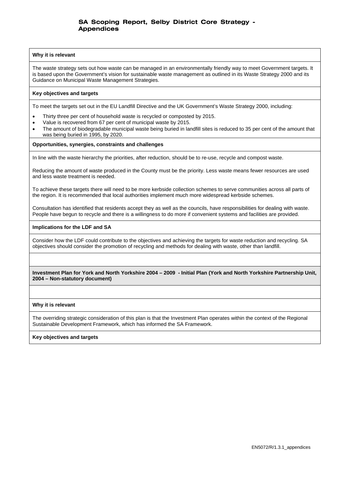### **Why it is relevant**

The waste strategy sets out how waste can be managed in an environmentally friendly way to meet Government targets. It is based upon the Government's vision for sustainable waste management as outlined in its Waste Strategy 2000 and its Guidance on Municipal Waste Management Strategies.

#### **Key objectives and targets**

To meet the targets set out in the EU Landfill Directive and the UK Government's Waste Strategy 2000, including:

- Thirty three per cent of household waste is recycled or composted by 2015.
- Value is recovered from 67 per cent of municipal waste by 2015.
- The amount of biodegradable municipal waste being buried in landfill sites is reduced to 35 per cent of the amount that was being buried in 1995, by 2020.

#### **Opportunities, synergies, constraints and challenges**

In line with the waste hierarchy the priorities, after reduction, should be to re-use, recycle and compost waste.

Reducing the amount of waste produced in the County must be the priority. Less waste means fewer resources are used and less waste treatment is needed.

To achieve these targets there will need to be more kerbside collection schemes to serve communities across all parts of the region. It is recommended that local authorities implement much more widespread kerbside schemes.

Consultation has identified that residents accept they as well as the councils, have responsibilities for dealing with waste. People have begun to recycle and there is a willingness to do more if convenient systems and facilities are provided.

#### **Implications for the LDF and SA**

Consider how the LDF could contribute to the objectives and achieving the targets for waste reduction and recycling. SA objectives should consider the promotion of recycling and methods for dealing with waste, other than landfill.

### **Investment Plan for York and North Yorkshire 2004 – 2009 - Initial Plan (York and North Yorkshire Partnership Unit, 2004 – Non-statutory document)**

### **Why it is relevant**

The overriding strategic consideration of this plan is that the Investment Plan operates within the context of the Regional Sustainable Development Framework, which has informed the SA Framework.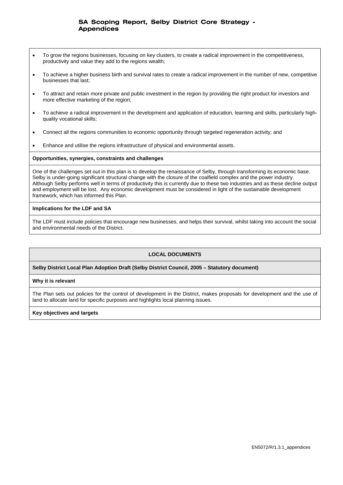- To grow the regions businesses, focusing on key clusters, to create a radical improvement in the competitiveness, productivity and value they add to the regions wealth;
- To achieve a higher business birth and survival rates to create a radical improvement in the number of new, competitive businesses that last;
- To attract and retain more private and public investment in the region by providing the right product for investors and more effective marketing of the region;
- To achieve a radical improvement in the development and application of education, learning and skills, particularly highquality vocational skills;
- Connect all the regions communities to economic opportunity through targeted regeneration activity; and
- Enhance and utilise the regions infrastructure of physical and environmental assets.

#### **Opportunities, synergies, constraints and challenges**

One of the challenges set out in this plan is to develop the renaissance of Selby, through transforming its economic base. Selby is under-going significant structural change with the closure of the coalfield complex and the power industry. Although Selby performs well in terms of productivity this is currently due to these two industries and as these decline output and employment will be lost. Any economic development must be considered in light of the sustainable development framework, which has informed this Plan.

### **Implications for the LDF and SA**

The LDF must include policies that encourage new businesses, and helps their survival, whilst taking into account the social and environmental needs of the District.

### **LOCAL DOCUMENTS**

### **Selby District Local Plan Adoption Draft (Selby District Council, 2005 – Statutory document)**

#### **Why it is relevant**

The Plan sets out policies for the control of development in the District, makes proposals for development and the use of land to allocate land for specific purposes and highlights local planning issues.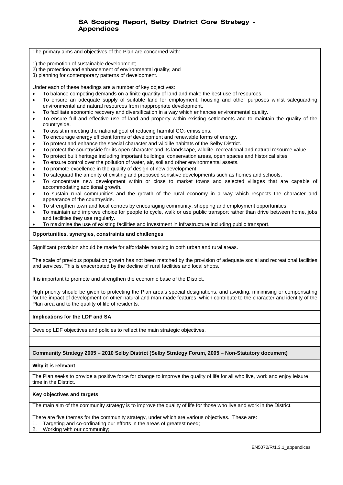The primary aims and objectives of the Plan are concerned with:

- 1) the promotion of sustainable development;
- 2) the protection and enhancement of environmental quality; and
- 3) planning for contemporary patterns of development.

Under each of these headings are a number of key objectives:

- To balance competing demands on a finite quantity of land and make the best use of resources.
- To ensure an adequate supply of suitable land for employment, housing and other purposes whilst safeguarding environmental and natural resources from inappropriate development.
- To facilitate economic recovery and diversification in a way which enhances environmental quality.
- To ensure full and effective use of land and property within existing settlements and to maintain the quality of the countryside.
- To assist in meeting the national goal of reducing harmful  $CO<sub>2</sub>$  emissions.
- To encourage energy efficient forms of development and renewable forms of energy.
- To protect and enhance the special character and wildlife habitats of the Selby District.
- To protect the countryside for its open character and its landscape, wildlife, recreational and natural resource value.
- To protect built heritage including important buildings, conservation areas, open spaces and historical sites.
- To ensure control over the pollution of water, air, soil and other environmental assets.
- To promote excellence in the quality of design of new development.
- To safeguard the amenity of existing and proposed sensitive developments such as homes and schools.
- To concentrate new development within or close to market towns and selected villages that are capable of accommodating additional growth.
- To sustain rural communities and the growth of the rural economy in a way which respects the character and appearance of the countryside.
- To strengthen town and local centres by encouraging community, shopping and employment opportunities.
- To maintain and improve choice for people to cycle, walk or use public transport rather than drive between home, jobs and facilities they use regularly.
- To maximise the use of existing facilities and investment in infrastructure including public transport.

#### **Opportunities, synergies, constraints and challenges**

Significant provision should be made for affordable housing in both urban and rural areas.

The scale of previous population growth has not been matched by the provision of adequate social and recreational facilities and services. This is exacerbated by the decline of rural facilities and local shops.

It is important to promote and strengthen the economic base of the District.

High priority should be given to protecting the Plan area's special designations, and avoiding, minimising or compensating for the impact of development on other natural and man-made features, which contribute to the character and identity of the Plan area and to the quality of life of residents.

#### **Implications for the LDF and SA**

Develop LDF objectives and policies to reflect the main strategic objectives.

#### **Community Strategy 2005 – 2010 Selby District (Selby Strategy Forum, 2005 – Non-Statutory document)**

#### **Why it is relevant**

The Plan seeks to provide a positive force for change to improve the quality of life for all who live, work and enjoy leisure time in the District.

#### **Key objectives and targets**

The main aim of the community strategy is to improve the quality of life for those who live and work in the District.

There are five themes for the community strategy, under which are various objectives. These are:

- 1. Targeting and co-ordinating our efforts in the areas of greatest need;
- 2. Working with our community;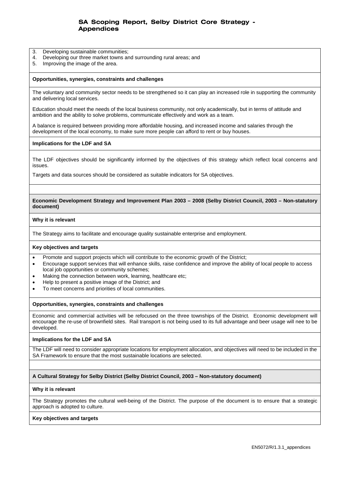- 3. Developing sustainable communities;
- 4. Developing our three market towns and surrounding rural areas; and
- 5. Improving the image of the area.

#### **Opportunities, synergies, constraints and challenges**

The voluntary and community sector needs to be strengthened so it can play an increased role in supporting the community and delivering local services.

Education should meet the needs of the local business community, not only academically, but in terms of attitude and ambition and the ability to solve problems, communicate effectively and work as a team.

A balance is required between providing more affordable housing, and increased income and salaries through the development of the local economy, to make sure more people can afford to rent or buy houses.

#### **Implications for the LDF and SA**

The LDF objectives should be significantly informed by the objectives of this strategy which reflect local concerns and issues.

Targets and data sources should be considered as suitable indicators for SA objectives.

#### **Economic Development Strategy and Improvement Plan 2003 – 2008 (Selby District Council, 2003 – Non-statutory document)**

#### **Why it is relevant**

The Strategy aims to facilitate and encourage quality sustainable enterprise and employment.

#### **Key objectives and targets**

- Promote and support projects which will contribute to the economic growth of the District;
- Encourage support services that will enhance skills, raise confidence and improve the ability of local people to access local job opportunities or community schemes;
- Making the connection between work, learning, healthcare etc:
- Help to present a positive image of the District; and
- To meet concerns and priorities of local communities.

#### **Opportunities, synergies, constraints and challenges**

Economic and commercial activities will be refocused on the three townships of the District. Economic development will encourage the re-use of brownfield sites. Rail transport is not being used to its full advantage and beer usage will nee to be developed.

#### **Implications for the LDF and SA**

The LDF will need to consider appropriate locations for employment allocation, and objectives will need to be included in the SA Framework to ensure that the most sustainable locations are selected.

#### **A Cultural Strategy for Selby District (Selby District Council, 2003 – Non-statutory document)**

#### **Why it is relevant**

The Strategy promotes the cultural well-being of the District. The purpose of the document is to ensure that a strategic approach is adopted to culture.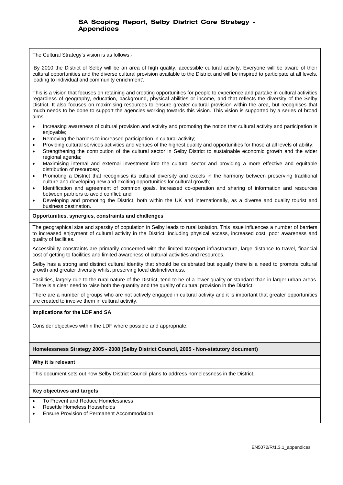The Cultural Strategy's vision is as follows:-

'By 2010 the District of Selby will be an area of high quality, accessible cultural activity. Everyone will be aware of their cultural opportunities and the diverse cultural provision available to the District and will be inspired to participate at all levels, leading to individual and community enrichment'.

This is a vision that focuses on retaining and creating opportunities for people to experience and partake in cultural activities regardless of geography, education, background, physical abilities or income, and that reflects the diversity of the Selby District. It also focuses on maximising resources to ensure greater cultural provision within the area, but recognises that much needs to be done to support the agencies working towards this vision. This vision is supported by a series of broad aims:

- Increasing awareness of cultural provision and activity and promoting the notion that cultural activity and participation is enjoyable;
- Removing the barriers to increased participation in cultural activity;
- Providing cultural services activities and venues of the highest quality and opportunities for those at all levels of ability;
- Strengthening the contribution of the cultural sector in Selby District to sustainable economic growth and the wider regional agenda;
- Maximising internal and external investment into the cultural sector and providing a more effective and equitable distribution of resources;
- Promoting a District that recognises its cultural diversity and excels in the harmony between preserving traditional culture and developing new and exciting opportunities for cultural growth;
- Identification and agreement of common goals. Increased co-operation and sharing of information and resources between partners to avoid conflict; and
- Developing and promoting the District, both within the UK and internationally, as a diverse and quality tourist and business destination.

### **Opportunities, synergies, constraints and challenges**

The geographical size and sparsity of population in Selby leads to rural isolation. This issue influences a number of barriers to increased enjoyment of cultural activity in the District, including physical access, increased cost, poor awareness and quality of facilities.

Accessibility constraints are primarily concerned with the limited transport infrastructure, large distance to travel, financial cost of getting to facilities and limited awareness of cultural activities and resources.

Selby has a strong and distinct cultural identity that should be celebrated but equally there is a need to promote cultural growth and greater diversity whilst preserving local distinctiveness.

Facilities, largely due to the rural nature of the District, tend to be of a lower quality or standard than in larger urban areas. There is a clear need to raise both the quantity and the quality of cultural provision in the District.

There are a number of groups who are not actively engaged in cultural activity and it is important that greater opportunities are created to involve them in cultural activity.

### **Implications for the LDF and SA**

Consider objectives within the LDF where possible and appropriate.

### **Homelessness Strategy 2005 - 2008 (Selby District Council, 2005 - Non-statutory document)**

### **Why it is relevant**

This document sets out how Selby District Council plans to address homelessness in the District.

- To Prevent and Reduce Homelessness
- Resettle Homeless Households
- Ensure Provision of Permanent Accommodation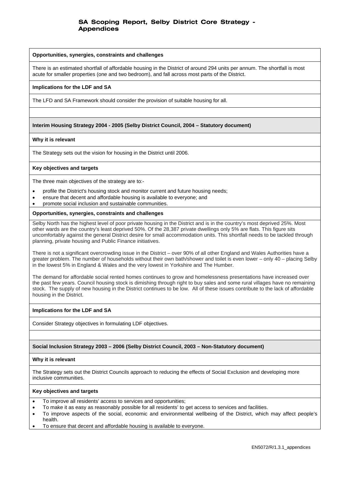#### **Opportunities, synergies, constraints and challenges**

There is an estimated shortfall of affordable housing in the District of around 294 units per annum. The shortfall is most acute for smaller properties (one and two bedroom), and fall across most parts of the District.

#### **Implications for the LDF and SA**

The LFD and SA Framework should consider the provision of suitable housing for all.

### **Interim Housing Strategy 2004 - 2005 (Selby District Council, 2004 – Statutory document)**

#### **Why it is relevant**

The Strategy sets out the vision for housing in the District until 2006.

#### **Key objectives and targets**

The three main objectives of the strategy are to:-

- profile the District's housing stock and monitor current and future housing needs;
- ensure that decent and affordable housing is available to everyone; and
- promote social inclusion and sustainable communities.

### **Opportunities, synergies, constraints and challenges**

Selby North has the highest level of poor private housing in the District and is in the country's most deprived 25%. Most other wards are the country's least deprived 50%. Of the 28,387 private dwellings only 5% are flats. This figure sits uncomfortably against the general District desire for small accommodation units. This shortfall needs to be tackled through planning, private housing and Public Finance initiatives.

There is not a significant overcrowding issue in the District – over 90% of all other England and Wales Authorities have a greater problem. The number of households without their own bath/shower and toilet is even lower – only 40 – placing Selby in the lowest 5% in England & Wales and the very lowest in Yorkshire and The Humber.

The demand for affordable social rented homes continues to grow and homelessness presentations have increased over the past few years. Council housing stock is dimishing through right to buy sales and some rural villages have no remaining stock. The supply of new housing in the District continues to be low. All of these issues contribute to the lack of affordable housing in the District.

#### **Implications for the LDF and SA**

Consider Strategy objectives in formulating LDF objectives.

### **Social Inclusion Strategy 2003 – 2006 (Selby District Council, 2003 – Non-Statutory document)**

#### **Why it is relevant**

The Strategy sets out the District Councils approach to reducing the effects of Social Exclusion and developing more inclusive communities.

- To improve all residents' access to services and opportunities;
- To make it as easy as reasonably possible for all residents' to get access to services and facilities.
- To improve aspects of the social, economic and environmental wellbeing of the District, which may affect people's health.
- To ensure that decent and affordable housing is available to everyone.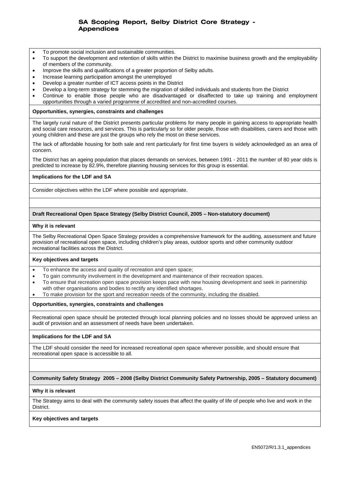- To promote social inclusion and sustainable communities.
- To support the development and retention of skills within the District to maximise business growth and the employability of members of the community.
- Improve the skills and qualifications of a greater proportion of Selby adults.
- Increase learning participation amongst the unemployed
- Develop a greater number of ICT access points in the District
- Develop a long-term strategy for stemming the migration of skilled individuals and students from the District
- Continue to enable those people who are disadvantaged or disaffected to take up training and employment opportunities through a varied programme of accredited and non-accredited courses.

#### **Opportunities, synergies, constraints and challenges**

The largely rural nature of the District presents particular problems for many people in gaining access to appropriate health and social care resources, and services. This is particularly so for older people, those with disabilities, carers and those with young children and these are just the groups who rely the most on these services.

The lack of affordable housing for both sale and rent particularly for first time buyers is widely acknowledged as an area of concern.

The District has an ageing population that places demands on services, between 1991 - 2011 the number of 80 year olds is predicted to increase by 82.9%, therefore planning housing services for this group is essential.

### **Implications for the LDF and SA**

Consider objectives within the LDF where possible and appropriate.

### **Draft Recreational Open Space Strategy (Selby District Council, 2005 – Non-statutory document)**

#### **Why it is relevant**

The Selby Recreational Open Space Strategy provides a comprehensive framework for the auditing, assessment and future provision of recreational open space, including children's play areas, outdoor sports and other community outdoor recreational facilities across the District.

### **Key objectives and targets**

- To enhance the access and quality of recreation and open space;
- To gain community involvement in the development and maintenance of their recreation spaces.
- To ensure that recreation open space provision keeps pace with new housing development and seek in partnership with other organisations and bodies to rectify any identified shortages.
- To make provision for the sport and recreation needs of the community, including the disabled.

#### **Opportunities, synergies, constraints and challenges**

Recreational open space should be protected through local planning policies and no losses should be approved unless an audit of provision and an assessment of needs have been undertaken.

### **Implications for the LDF and SA**

The LDF should consider the need for increased recreational open space wherever possible, and should ensure that recreational open space is accessible to all.

### **Community Safety Strategy 2005 – 2008 (Selby District Community Safety Partnership, 2005 – Statutory document)**

#### **Why it is relevant**

The Strategy aims to deal with the community safety issues that affect the quality of life of people who live and work in the District.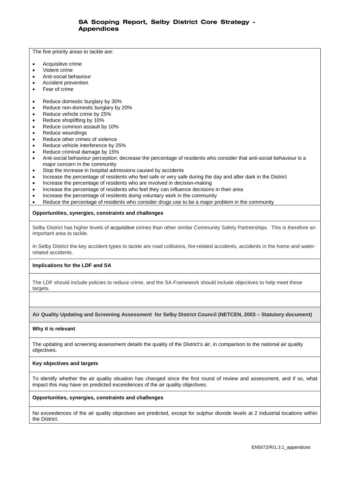The five priority areas to tackle are:

- Acquisitive crime
- Violent crime
- Anti-social behaviour
- Accident prevention
- Fear of crime
- Reduce domestic burglary by 30%
- Reduce non-domestic burglary by 20%
- Reduce vehicle crime by 25%
- Reduce shoplifting by 10%
- Reduce common assault by 10%
- Reduce woundings
- Reduce other crimes of violence
- Reduce vehicle interference by 25%
- Reduce criminal damage by 15%
- Anti-social behaviour perception: decrease the percentage of residents who consider that anti-social behaviour is a major concern in the community
- Stop the increase in hospital admissions caused by accidents
- Increase the percentage of residents who feel safe or very safe during the day and after dark in the District
- Increase the percentage of residents who are involved in decision-making
- Increase the percentage of residents who feel they can influence decisions in their area
- Increase the percentage of residents doing voluntary work in the community
- Reduce the percentage of residents who consider drugs use to be a major problem in the community

### **Opportunities, synergies, constraints and challenges**

Selby District has higher levels of acquisitive crimes than other similar Community Safety Partnerships. This is therefore an important area to tackle.

In Selby District the key accident types to tackle are road collisions, fire-related accidents, accidents in the home and waterrelated accidents.

### **Implications for the LDF and SA**

The LDF should include policies to reduce crime, and the SA Framework should include objectives to help meet these targets.

### **Air Quality Updating and Screening Assessment for Selby District Council (NETCEN, 2003 – Statutory document)**

### **Why it is relevant**

The updating and screening assessment details the quality of the District's air, in comparison to the national air quality objectives.

### **Key objectives and targets**

To identify whether the air quality situation has changed since the first round of review and assessment, and if so, what impact this may have on predicted exceedences of the air quality objectives.

### **Opportunities, synergies, constraints and challenges**

No exceedences of the air quality objectives are predicted, except for sulphur dioxide levels at 2 industrial locations within the District.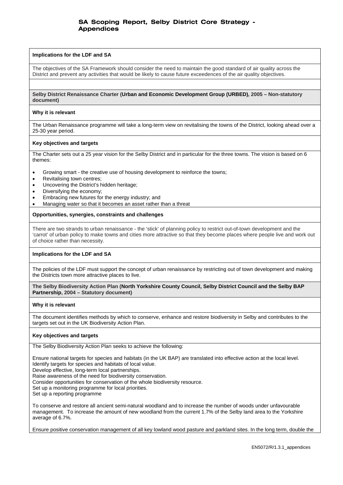### **Implications for the LDF and SA**

The objectives of the SA Framework should consider the need to maintain the good standard of air quality across the District and prevent any activities that would be likely to cause future exceedences of the air quality objectives.

**Selby District Renaissance Charter (Urban and Economic Development Group (URBED), 2005 – Non-statutory document)** 

#### **Why it is relevant**

The Urban Renaissance programme will take a long-term view on revitalising the towns of the District, looking ahead over a 25-30 year period.

#### **Key objectives and targets**

The Charter sets out a 25 year vision for the Selby District and in particular for the three towns. The vision is based on 6 themes:

- Growing smart the creative use of housing development to reinforce the towns;
- Revitalising town centres;
- Uncovering the District's hidden heritage;
- Diversifying the economy;
- Embracing new futures for the energy industry; and
- Managing water so that it becomes an asset rather than a threat

#### **Opportunities, synergies, constraints and challenges**

There are two strands to urban renaissance - the 'stick' of planning policy to restrict out-of-town development and the 'carrot' of urban policy to make towns and cities more attractive so that they become places where people live and work out of choice rather than necessity.

### **Implications for the LDF and SA**

The policies of the LDF must support the concept of urban renaissance by restricting out of town development and making the Districts town more attractive places to live.

**The Selby Biodiversity Action Plan (North Yorkshire County Council, Selby District Council and the Selby BAP Partnership, 2004 – Statutory document)** 

#### **Why it is relevant**

The document identifies methods by which to conserve, enhance and restore biodiversity in Selby and contributes to the targets set out in the UK Biodiversity Action Plan.

#### **Key objectives and targets**

The Selby Biodiversity Action Plan seeks to achieve the following:

Ensure national targets for species and habitats (in the UK BAP) are translated into effective action at the local level. Identify targets for species and habitats of local value.

Develop effective, long-term local partnerships.

Raise awareness of the need for biodiversity conservation.

Consider opportunities for conservation of the whole biodiversity resource.

Set up a monitoring programme for local priorities.

Set up a reporting programme

To conserve and restore all ancient semi-natural woodland and to increase the number of woods under unfavourable management. To increase the amount of new woodland from the current 1.7% of the Selby land area to the Yorkshire average of 6.7%.

Ensure positive conservation management of all key lowland wood pasture and parkland sites. In the long term, double the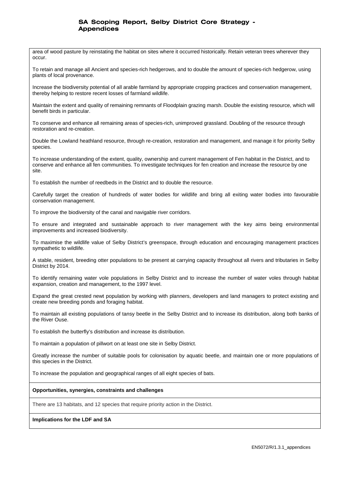area of wood pasture by reinstating the habitat on sites where it occurred historically. Retain veteran trees wherever they occur.

To retain and manage all Ancient and species-rich hedgerows, and to double the amount of species-rich hedgerow, using plants of local provenance.

Increase the biodiversity potential of all arable farmland by appropriate cropping practices and conservation management, thereby helping to restore recent losses of farmland wildlife.

Maintain the extent and quality of remaining remnants of Floodplain grazing marsh. Double the existing resource, which will benefit birds in particular.

To conserve and enhance all remaining areas of species-rich, unimproved grassland. Doubling of the resource through restoration and re-creation.

Double the Lowland heathland resource, through re-creation, restoration and management, and manage it for priority Selby species.

To increase understanding of the extent, quality, ownership and current management of Fen habitat in the District, and to conserve and enhance all fen communities. To investigate techniques for fen creation and increase the resource by one site.

To establish the number of reedbeds in the District and to double the resource.

Carefully target the creation of hundreds of water bodies for wildlife and bring all exiting water bodies into favourable conservation management.

To improve the biodiversity of the canal and navigable river corridors.

To ensure and integrated and sustainable approach to river management with the key aims being environmental improvements and increased biodiversity.

To maximise the wildlife value of Selby District's greenspace, through education and encouraging management practices sympathetic to wildlife.

A stable, resident, breeding otter populations to be present at carrying capacity throughout all rivers and tributaries in Selby District by 2014.

To identify remaining water vole populations in Selby District and to increase the number of water voles through habitat expansion, creation and management, to the 1997 level.

Expand the great crested newt population by working with planners, developers and land managers to protect existing and create new breeding ponds and foraging habitat.

To maintain all existing populations of tansy beetle in the Selby District and to increase its distribution, along both banks of the River Ouse.

To establish the butterfly's distribution and increase its distribution.

To maintain a population of pillwort on at least one site in Selby District.

Greatly increase the number of suitable pools for colonisation by aquatic beetle, and maintain one or more populations of this species in the District.

To increase the population and geographical ranges of all eight species of bats.

### **Opportunities, synergies, constraints and challenges**

There are 13 habitats, and 12 species that require priority action in the District.

### **Implications for the LDF and SA**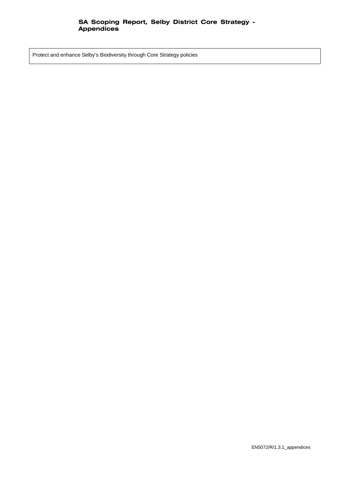Protect and enhance Selby's Biodiversity through Core Strategy policies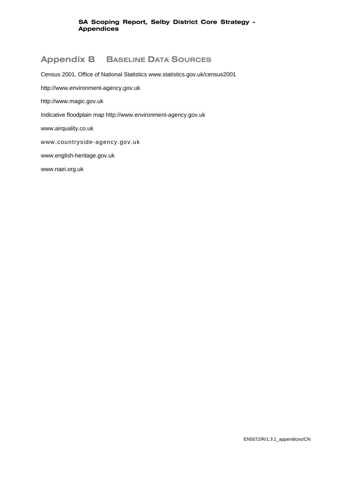# **Appendix B BASELINE DATA SOURCES**

Census 2001, Office of National Statistics www.statistics.gov.uk/census2001

http://www.environment-agency.gov.uk

http://www.magic.gov.uk

Indicative floodplain map http://www.environment-agency.gov.uk

www.airquality.co.uk

www.countryside-agency.gov.uk

www.english-heritage.gov.uk

www.naei.org.uk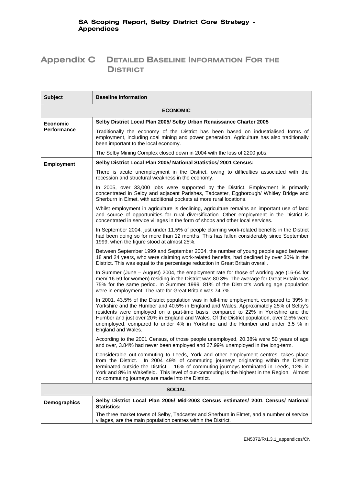# **Appendix C DETAILED BASELINE INFORMATION FOR THE DISTRICT**

| <b>Subject</b>    | <b>Baseline Information</b>                                                                                                                                                                                                                                                                                                                                                                                                                                                    |  |  |
|-------------------|--------------------------------------------------------------------------------------------------------------------------------------------------------------------------------------------------------------------------------------------------------------------------------------------------------------------------------------------------------------------------------------------------------------------------------------------------------------------------------|--|--|
|                   | <b>ECONOMIC</b>                                                                                                                                                                                                                                                                                                                                                                                                                                                                |  |  |
| <b>Economic</b>   | Selby District Local Plan 2005/ Selby Urban Renaissance Charter 2005                                                                                                                                                                                                                                                                                                                                                                                                           |  |  |
| Performance       | Traditionally the economy of the District has been based on industrialised forms of<br>employment, including coal mining and power generation. Agriculture has also traditionally<br>been important to the local economy.                                                                                                                                                                                                                                                      |  |  |
|                   | The Selby Mining Complex closed down in 2004 with the loss of 2200 jobs.                                                                                                                                                                                                                                                                                                                                                                                                       |  |  |
| <b>Employment</b> | Selby District Local Plan 2005/ National Statistics/ 2001 Census:                                                                                                                                                                                                                                                                                                                                                                                                              |  |  |
|                   | There is acute unemployment in the District, owing to difficulties associated with the<br>recession and structural weakness in the economy.                                                                                                                                                                                                                                                                                                                                    |  |  |
|                   | In 2005, over 33,000 jobs were supported by the District. Employment is primarily<br>concentrated in Selby and adjacent Parishes, Tadcaster, Eggborough/ Whitley Bridge and<br>Sherburn in Elmet, with additional pockets at more rural locations.                                                                                                                                                                                                                             |  |  |
|                   | Whilst employment in agriculture is declining, agriculture remains an important use of land<br>and source of opportunities for rural diversification. Other employment in the District is<br>concentrated in service villages in the form of shops and other local services.                                                                                                                                                                                                   |  |  |
|                   | In September 2004, just under 11.5% of people claiming work-related benefits in the District<br>had been doing so for more than 12 months. This has fallen considerably since September<br>1999, when the figure stood at almost 25%.                                                                                                                                                                                                                                          |  |  |
|                   | Between September 1999 and September 2004, the number of young people aged between<br>18 and 24 years, who were claiming work-related benefits, had declined by over 30% in the<br>District. This was equal to the percentage reduction in Great Britain overall.                                                                                                                                                                                                              |  |  |
|                   | In Summer (June – August) 2004, the employment rate for those of working age (16-64 for<br>men/ 16-59 for women) residing in the District was 80.3%. The average for Great Britain was<br>75% for the same period. In Summer 1999, 81% of the District's working age population<br>were in employment. The rate for Great Britain was 74.7%.                                                                                                                                   |  |  |
|                   | In 2001, 43.5% of the District population was in full-time employment, compared to 39% in<br>Yorkshire and the Humber and 40.5% in England and Wales. Approximately 25% of Selby's<br>residents were employed on a part-time basis, compared to 22% in Yorkshire and the<br>Humber and just over 20% in England and Wales. Of the District population, over 2.5% were<br>unemployed, compared to under 4% in Yorkshire and the Humber and under 3.5 % in<br>England and Wales. |  |  |
|                   | According to the 2001 Census, of those people unemployed, 20.38% were 50 years of age<br>and over, 3.84% had never been employed and 27.99% unemployed in the long-term.                                                                                                                                                                                                                                                                                                       |  |  |
|                   | Considerable out-commuting to Leeds, York and other employment centres, takes place<br>In 2004 49% of commuting journeys originating within the District<br>from the District.<br>terminated outside the District. 16% of commuting journeys terminated in Leeds, 12% in<br>York and 8% in Wakefield. This level of out-commuting is the highest in the Region. Almost<br>no commuting journeys are made into the District.                                                    |  |  |
|                   | <b>SOCIAL</b>                                                                                                                                                                                                                                                                                                                                                                                                                                                                  |  |  |
| Demographics      | Selby District Local Plan 2005/ Mid-2003 Census estimates/ 2001 Census/ National<br><b>Statistics:</b>                                                                                                                                                                                                                                                                                                                                                                         |  |  |
|                   | The three market towns of Selby, Tadcaster and Sherburn in Elmet, and a number of service<br>villages, are the main population centres within the District.                                                                                                                                                                                                                                                                                                                    |  |  |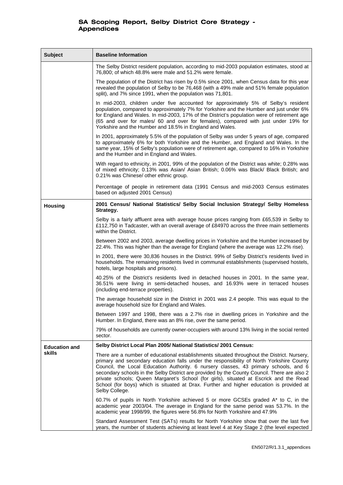| <b>Subject</b>                                                                                                   | <b>Baseline Information</b>                                                                                                                                                                                                                                                                                                                                                                                                                                                                                                                                                             |  |
|------------------------------------------------------------------------------------------------------------------|-----------------------------------------------------------------------------------------------------------------------------------------------------------------------------------------------------------------------------------------------------------------------------------------------------------------------------------------------------------------------------------------------------------------------------------------------------------------------------------------------------------------------------------------------------------------------------------------|--|
|                                                                                                                  | The Selby District resident population, according to mid-2003 population estimates, stood at<br>76,800; of which 48.8% were male and 51.2% were female.                                                                                                                                                                                                                                                                                                                                                                                                                                 |  |
|                                                                                                                  | The population of the District has risen by 0.5% since 2001, when Census data for this year<br>revealed the population of Selby to be 76,468 (with a 49% male and 51% female population<br>split), and 7% since 1991, when the population was 71,801.                                                                                                                                                                                                                                                                                                                                   |  |
|                                                                                                                  | In mid-2003, children under five accounted for approximately 5% of Selby's resident<br>population, compared to approximately 7% for Yorkshire and the Humber and just under 6%<br>for England and Wales. In mid-2003, 17% of the District's population were of retirement age<br>(65 and over for males/ 60 and over for females), compared with just under 19% for<br>Yorkshire and the Humber and 18.5% in England and Wales.                                                                                                                                                         |  |
|                                                                                                                  | In 2001, approximately 5.5% of the population of Selby was under 5 years of age, compared<br>to approximately 6% for both Yorkshire and the Humber, and England and Wales. In the<br>same year, 15% of Selby's population were of retirement age, compared to 16% in Yorkshire<br>and the Humber and in England and Wales.                                                                                                                                                                                                                                                              |  |
|                                                                                                                  | With regard to ethnicity, in 2001, 99% of the population of the District was white; 0.28% was<br>of mixed ethnicity; 0.13% was Asian/ Asian British; 0.06% was Black/ Black British; and<br>0.21% was Chinese/ other ethnic group.                                                                                                                                                                                                                                                                                                                                                      |  |
|                                                                                                                  | Percentage of people in retirement data (1991 Census and mid-2003 Census estimates<br>based on adjusted 2001 Census)                                                                                                                                                                                                                                                                                                                                                                                                                                                                    |  |
| 2001 Census/ National Statistics/ Selby Social Inclusion Strategy/ Selby Homeless<br><b>Housing</b><br>Strategy. |                                                                                                                                                                                                                                                                                                                                                                                                                                                                                                                                                                                         |  |
|                                                                                                                  | Selby is a fairly affluent area with average house prices ranging from £65,539 in Selby to<br>£112,750 in Tadcaster, with an overall average of £84970 across the three main settlements<br>within the District.                                                                                                                                                                                                                                                                                                                                                                        |  |
|                                                                                                                  | Between 2002 and 2003, average dwelling prices in Yorkshire and the Humber increased by<br>22.4%. This was higher than the average for England (where the average was 12.2% rise).                                                                                                                                                                                                                                                                                                                                                                                                      |  |
|                                                                                                                  | In 2001, there were 30,836 houses in the District. 99% of Selby District's residents lived in<br>households. The remaining residents lived in communal establishments (supervised hostels,<br>hotels, large hospitals and prisons).                                                                                                                                                                                                                                                                                                                                                     |  |
|                                                                                                                  | 40.25% of the District's residents lived in detached houses in 2001. In the same year,<br>36.51% were living in semi-detached houses, and 16.93% were in terraced houses<br>(including end-terrace properties).                                                                                                                                                                                                                                                                                                                                                                         |  |
|                                                                                                                  | The average household size in the District in 2001 was 2.4 people. This was equal to the<br>average household size for England and Wales.                                                                                                                                                                                                                                                                                                                                                                                                                                               |  |
|                                                                                                                  | Between 1997 and 1998, there was a 2.7% rise in dwelling prices in Yorkshire and the<br>Humber. In England, there was an 8% rise, over the same period.                                                                                                                                                                                                                                                                                                                                                                                                                                 |  |
|                                                                                                                  | 79% of households are currently owner-occupiers with around 13% living in the social rented<br>sector.                                                                                                                                                                                                                                                                                                                                                                                                                                                                                  |  |
| <b>Education and</b>                                                                                             | Selby District Local Plan 2005/ National Statistics/ 2001 Census:                                                                                                                                                                                                                                                                                                                                                                                                                                                                                                                       |  |
| skills                                                                                                           | There are a number of educational establishments situated throughout the District. Nursery,<br>primary and secondary education falls under the responsibility of North Yorkshire County<br>Council, the Local Education Authority. 6 nursery classes, 43 primary schools, and 6<br>secondary schools in the Selby District are provided by the County Council. There are also 2<br>private schools; Queen Margaret's School (for girls), situated at Escrick and the Read<br>School (for boys) which is situated at Drax. Further and higher education is provided at<br>Selby College. |  |
|                                                                                                                  | 60.7% of pupils in North Yorkshire achieved 5 or more GCSEs graded A* to C, in the<br>academic year 2003/04. The average in England for the same period was 53.7%. In the<br>academic year 1998/99, the figures were 56.8% for North Yorkshire and 47.9%                                                                                                                                                                                                                                                                                                                                |  |
|                                                                                                                  | Standard Assessment Test (SATs) results for North Yorkshire show that over the last five<br>years, the number of students achieving at least level 4 at Key Stage 2 (the level expected                                                                                                                                                                                                                                                                                                                                                                                                 |  |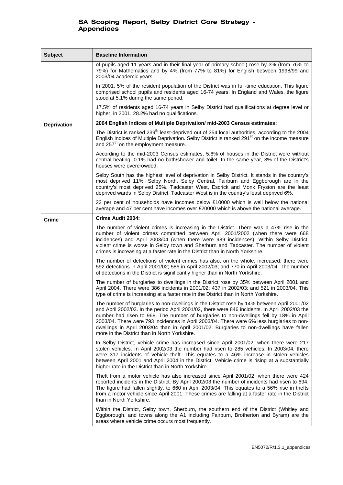| <b>Subject</b>     | <b>Baseline Information</b>                                                                                                                                                                                                                                                                                                                                                                                                                                                                                                          |
|--------------------|--------------------------------------------------------------------------------------------------------------------------------------------------------------------------------------------------------------------------------------------------------------------------------------------------------------------------------------------------------------------------------------------------------------------------------------------------------------------------------------------------------------------------------------|
|                    | of pupils aged 11 years and in their final year of primary school) rose by 3% (from 76% to<br>79%) for Mathematics and by 4% (from 77% to 81%) for English between 1998/99 and<br>2003/04 academic years.                                                                                                                                                                                                                                                                                                                            |
|                    | In 2001, 5% of the resident population of the District was in full-time education. This figure<br>comprised school pupils and residents aged 16-74 years. In England and Wales, the figure<br>stood at 5.1% during the same period.                                                                                                                                                                                                                                                                                                  |
|                    | 17.5% of residents aged 16-74 years in Selby District had qualifications at degree level or<br>higher, in 2001. 28.2% had no qualifications.                                                                                                                                                                                                                                                                                                                                                                                         |
| <b>Deprivation</b> | 2004 English Indices of Multiple Deprivation/ mid-2003 Census estimates:                                                                                                                                                                                                                                                                                                                                                                                                                                                             |
|                    | The District is ranked 239 <sup>th</sup> least-deprived out of 354 local authorities, according to the 2004<br>English Indices of Multiple Deprivation. Selby District is ranked 291 <sup>st</sup> on the income measure<br>and 257 <sup>th</sup> on the employment measure.                                                                                                                                                                                                                                                         |
|                    | According to the mid-2003 Census estimates, 5.6% of houses in the District were without<br>central heating. 0.1% had no bath/shower and toilet. In the same year, 3% of the District's<br>houses were overcrowded.                                                                                                                                                                                                                                                                                                                   |
|                    | Selby South has the highest level of deprivation in Selby District. It stands in the country's<br>most deprived 11%. Selby North, Selby Central, Fairburn and Eggborough are in the<br>country's most deprived 25%. Tadcaster West, Escrick and Monk Fryston are the least<br>deprived wards in Selby District. Tadcaster West is in the country's least deprived 6%.                                                                                                                                                                |
|                    | 22 per cent of households have incomes below £10000 which is well below the national<br>average and 47 per cent have incomes over £20000 which is above the national average.                                                                                                                                                                                                                                                                                                                                                        |
| <b>Crime</b>       | <b>Crime Audit 2004:</b>                                                                                                                                                                                                                                                                                                                                                                                                                                                                                                             |
|                    | The number of violent crimes is increasing in the District. There was a 47% rise in the<br>number of violent crimes committed between April 2001/2002 (when there were 668<br>incidences) and April 2003/04 (when there were 989 incidences). Within Selby District,<br>violent crime is worse in Selby town and Sherburn and Tadcaster. The number of violent<br>crimes is increasing at a faster rate in the District than in North Yorkshire.                                                                                     |
|                    | The number of detections of violent crimes has also, on the whole, increased: there were<br>592 detections in April 2001/02; 586 in April 2002/03; and 770 in April 2003/04. The number<br>of detections in the District is significantly higher than in North Yorkshire.                                                                                                                                                                                                                                                            |
|                    | The number of burglaries to dwellings in the District rose by 35% between April 2001 and<br>April 2004. There were 386 incidents in 2001/02; 437 in 2002/03; and 521 in 2003/04. This<br>type of crime is increasing at a faster rate in the District than in North Yorkshire.                                                                                                                                                                                                                                                       |
|                    | The number of burglaries to non-dwellings in the District rose by 14% between April 2001/02<br>and April 2002/03. In the period April 2001/02, there were 846 incidents. In April 2002/03 the<br>number had risen to 968. The number of burglaries to non-dwellings fell by 18% in April<br>2003/04. There were 793 incidences in April 2003/04. There were 6% less burglaries to non-<br>dwellings in April 2003/04 than in April 2001/02. Burglaries to non-dwellings have fallen<br>more in the District than in North Yorkshire. |
|                    | In Selby District, vehicle crime has increased since April 2001/02, when there were 217<br>stolen vehicles. In April 2002/03 the number had risen to 285 vehicles. In 2003/04, there<br>were 317 incidents of vehicle theft. This equates to a 46% increase in stolen vehicles<br>between April 2001 and April 2004 in the District. Vehicle crime is rising at a substantially<br>higher rate in the District than in North Yorkshire.                                                                                              |
|                    | Theft from a motor vehicle has also increased since April 2001/02, when there were 424<br>reported incidents in the District. By April 2002/03 the number of incidents had risen to 694.<br>The figure had fallen slightly, to 660 in April 2003/04. This equates to a 56% rise in thefts<br>from a motor vehicle since April 2001. These crimes are falling at a faster rate in the District<br>than in North Yorkshire.                                                                                                            |
|                    | Within the District, Selby town, Sherburn, the southern end of the District (Whitley and<br>Eggborough, and towns along the A1 including Fairburn, Brotherton and Byram) are the<br>areas where vehicle crime occurs most frequently.                                                                                                                                                                                                                                                                                                |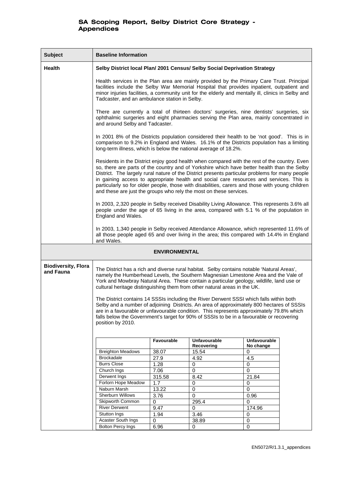| <b>Subject</b>                          | <b>Baseline Information</b>                                                                                                                                                                                                                                                                                                                                                                                                                                                                                                                                        |               |                     |                |  |
|-----------------------------------------|--------------------------------------------------------------------------------------------------------------------------------------------------------------------------------------------------------------------------------------------------------------------------------------------------------------------------------------------------------------------------------------------------------------------------------------------------------------------------------------------------------------------------------------------------------------------|---------------|---------------------|----------------|--|
| <b>Health</b>                           | Selby District local Plan/ 2001 Census/ Selby Social Deprivation Strategy                                                                                                                                                                                                                                                                                                                                                                                                                                                                                          |               |                     |                |  |
|                                         | Health services in the Plan area are mainly provided by the Primary Care Trust. Principal<br>facilities include the Selby War Memorial Hospital that provides inpatient, outpatient and<br>minor injuries facilities, a community unit for the elderly and mentally ill, clinics in Selby and<br>Tadcaster, and an ambulance station in Selby.                                                                                                                                                                                                                     |               |                     |                |  |
|                                         | There are currently a total of thirteen doctors' surgeries, nine dentists' surgeries, six<br>ophthalmic surgeries and eight pharmacies serving the Plan area, mainly concentrated in<br>and around Selby and Tadcaster.                                                                                                                                                                                                                                                                                                                                            |               |                     |                |  |
|                                         | In 2001 8% of the Districts population considered their health to be 'not good'. This is in<br>comparison to 9.2% in England and Wales. 16.1% of the Districts population has a limiting<br>long-term illness, which is below the national average of 18.2%.                                                                                                                                                                                                                                                                                                       |               |                     |                |  |
|                                         | Residents in the District enjoy good health when compared with the rest of the country. Even<br>so, there are parts of the country and of Yorkshire which have better health than the Selby<br>District. The largely rural nature of the District presents particular problems for many people<br>in gaining access to appropriate health and social care resources and services. This is<br>particularly so for older people, those with disabilities, carers and those with young children<br>and these are just the groups who rely the most on these services. |               |                     |                |  |
|                                         | In 2003, 2,320 people in Selby received Disability Living Allowance. This represents 3.6% all<br>people under the age of 65 living in the area, compared with 5.1 % of the population in<br>England and Wales.                                                                                                                                                                                                                                                                                                                                                     |               |                     |                |  |
|                                         | In 2003, 1,340 people in Selby received Attendance Allowance, which represented 11.6% of<br>all those people aged 65 and over living in the area; this compared with 14.4% in England<br>and Wales.                                                                                                                                                                                                                                                                                                                                                                |               |                     |                |  |
| ENVIRONMENTAL                           |                                                                                                                                                                                                                                                                                                                                                                                                                                                                                                                                                                    |               |                     |                |  |
| <b>Biodiversity, Flora</b><br>and Fauna | The District has a rich and diverse rural habitat. Selby contains notable 'Natural Areas',<br>namely the Humberhead Levels, the Southern Magnesian Limestone Area and the Vale of<br>York and Mowbray Natural Area. These contain a particular geology, wildlife, land use or<br>cultural heritage distinguishing them from other natural areas in the UK.                                                                                                                                                                                                         |               |                     |                |  |
|                                         | The District contains 14 SSSIs including the River Derwent SSSI which falls within both<br>Selby and a number of adjoining Districts. An area of approximately 800 hectares of SSSIs<br>are in a favourable or unfavourable condition. This represents approximately 79.8% which<br>falls below the Government's target for 90% of SSSIs to be in a favourable or recovering<br>position by 2010.                                                                                                                                                                  |               |                     |                |  |
|                                         |                                                                                                                                                                                                                                                                                                                                                                                                                                                                                                                                                                    | Favourable    | <b>Unfavourable</b> | Unfavourable   |  |
|                                         | <b>Breighton Meadows</b>                                                                                                                                                                                                                                                                                                                                                                                                                                                                                                                                           | 38.07         | Recovering<br>15.54 | No change<br>0 |  |
|                                         | <b>Brockadale</b>                                                                                                                                                                                                                                                                                                                                                                                                                                                                                                                                                  | 27.9          | 4.92                | 4.5            |  |
|                                         | <b>Burrs Close</b>                                                                                                                                                                                                                                                                                                                                                                                                                                                                                                                                                 | 1.28          | 0                   | 0              |  |
|                                         | Church Ings                                                                                                                                                                                                                                                                                                                                                                                                                                                                                                                                                        | 7.06          | $\mathbf 0$         | 0              |  |
|                                         | Derwent Ings<br>Forlorn Hope Meadow                                                                                                                                                                                                                                                                                                                                                                                                                                                                                                                                | 315.58<br>1.7 | 8.42<br>0           | 21.84<br>0     |  |
|                                         | Naburn Marsh                                                                                                                                                                                                                                                                                                                                                                                                                                                                                                                                                       | 13.22         | $\overline{0}$      | 0              |  |
|                                         | Sherburn Willows                                                                                                                                                                                                                                                                                                                                                                                                                                                                                                                                                   | 3.76          | 0                   | 0.96           |  |
|                                         | Skipworth Common                                                                                                                                                                                                                                                                                                                                                                                                                                                                                                                                                   | 0             | 295.4               | 0              |  |
|                                         | <b>River Derwent</b>                                                                                                                                                                                                                                                                                                                                                                                                                                                                                                                                               | 9.47          | $\Omega$            | 174.96         |  |
|                                         | Stutton Ings                                                                                                                                                                                                                                                                                                                                                                                                                                                                                                                                                       | 1.94          | 3.46                | 0              |  |
|                                         | Acaster South Ings                                                                                                                                                                                                                                                                                                                                                                                                                                                                                                                                                 | 0             | 38.89               | $\mathbf 0$    |  |
|                                         | <b>Bolton Percy Ings</b>                                                                                                                                                                                                                                                                                                                                                                                                                                                                                                                                           | 6.96          | 0                   | 0              |  |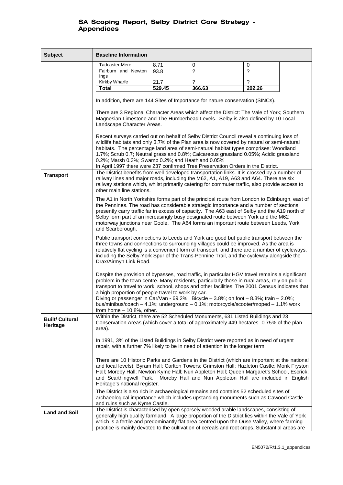| <b>Subject</b>                     | <b>Baseline Information</b>                                                                                                                                                                                                                                                                                                                                                                                                                                                                                                                                             |        |                                                                                                                                                                                                                                                                                                                                                                                            |        |  |
|------------------------------------|-------------------------------------------------------------------------------------------------------------------------------------------------------------------------------------------------------------------------------------------------------------------------------------------------------------------------------------------------------------------------------------------------------------------------------------------------------------------------------------------------------------------------------------------------------------------------|--------|--------------------------------------------------------------------------------------------------------------------------------------------------------------------------------------------------------------------------------------------------------------------------------------------------------------------------------------------------------------------------------------------|--------|--|
|                                    | <b>Tadcaster Mere</b>                                                                                                                                                                                                                                                                                                                                                                                                                                                                                                                                                   | 8.71   | 0                                                                                                                                                                                                                                                                                                                                                                                          | 0      |  |
|                                    | Fairburn and Newton<br>Ings                                                                                                                                                                                                                                                                                                                                                                                                                                                                                                                                             | 93.8   | 2                                                                                                                                                                                                                                                                                                                                                                                          | 2      |  |
|                                    | <b>Kirkby Wharfe</b>                                                                                                                                                                                                                                                                                                                                                                                                                                                                                                                                                    | 21.7   | ?                                                                                                                                                                                                                                                                                                                                                                                          | ?      |  |
|                                    | <b>Total</b>                                                                                                                                                                                                                                                                                                                                                                                                                                                                                                                                                            | 529.45 | 366.63                                                                                                                                                                                                                                                                                                                                                                                     | 202.26 |  |
|                                    |                                                                                                                                                                                                                                                                                                                                                                                                                                                                                                                                                                         |        | In addition, there are 144 Sites of Importance for nature conservation (SINCs).                                                                                                                                                                                                                                                                                                            |        |  |
|                                    | There are 3 Regional Character Areas which affect the District: The Vale of York; Southern<br>Magnesian Limestone and The Humberhead Levels. Selby is also defined by 10 Local<br>Landscape Character Areas.<br>Recent surveys carried out on behalf of Selby District Council reveal a continuing loss of<br>wildlife habitats and only 3.7% of the Plan area is now covered by natural or semi-natural                                                                                                                                                                |        |                                                                                                                                                                                                                                                                                                                                                                                            |        |  |
|                                    | habitats. The percentage land area of semi-natural habitat types comprises: Woodland<br>1.7%; Scrub 0.7; Neutral grassland 0.8%; Calcareous grassland 0.05%; Acidic grassland<br>0.2%; Marsh 0.3%; Swamp 0.2%; and Heathland 0.05%                                                                                                                                                                                                                                                                                                                                      |        |                                                                                                                                                                                                                                                                                                                                                                                            |        |  |
| <b>Transport</b>                   | In April 1997 there were 237 confirmed Tree Preservation Orders in the District.<br>The District benefits from well-developed transportation links. It is crossed by a number of<br>railway lines and major roads, including the M62, A1, A19, A63 and A64. There are six<br>railway stations which, whilst primarily catering for commuter traffic, also provide access to<br>other main line stations.                                                                                                                                                                |        |                                                                                                                                                                                                                                                                                                                                                                                            |        |  |
|                                    | The A1 in North Yorkshire forms part of the principal route from London to Edinburgh, east of<br>the Pennines. The road has considerable strategic importance and a number of sections<br>presently carry traffic far in excess of capacity. The A63 east of Selby and the A19 north of<br>Selby form part of an increasingly busy designated route between York and the M62<br>motorway junctions near Goole. The A64 forms an important route between Leeds, York<br>and Scarborough.                                                                                 |        |                                                                                                                                                                                                                                                                                                                                                                                            |        |  |
|                                    | Public transport connections to Leeds and York are good but public transport between the<br>three towns and connections to surrounding villages could be improved. As the area is<br>relatively flat cycling is a convenient form of transport and there are a number of cycleways,<br>including the Selby-York Spur of the Trans-Pennine Trail, and the cycleway alongside the<br>Drax/Airmyn Link Road.                                                                                                                                                               |        |                                                                                                                                                                                                                                                                                                                                                                                            |        |  |
|                                    | Despite the provision of bypasses, road traffic, in particular HGV travel remains a significant<br>problem in the town centre. Many residents, particularly those in rural areas, rely on public<br>transport to travel to work, school, shops and other facilities. The 2001 Census indicates that<br>a high proportion of people travel to work by car.<br>Diving or passenger in Car/Van - 69.2%; Bicycle - 3.8%; on foot - 8.3%; train - 2.0%;<br>bus/minibus/coach - 4.1%; underground - 0.1%; motorcycle/scooter/moped - 1.1% work<br>from home $-10.8%$ , other. |        |                                                                                                                                                                                                                                                                                                                                                                                            |        |  |
| <b>Built/ Cultural</b><br>Heritage | Within the District, there are 52 Scheduled Monuments, 631 Listed Buildings and 23<br>Conservation Areas (which cover a total of approximately 449 hectares -0.75% of the plan<br>area).                                                                                                                                                                                                                                                                                                                                                                                |        |                                                                                                                                                                                                                                                                                                                                                                                            |        |  |
|                                    | In 1991, 3% of the Listed Buildings in Selby District were reported as in need of urgent<br>repair, with a further 7% likely to be in need of attention in the longer term.                                                                                                                                                                                                                                                                                                                                                                                             |        |                                                                                                                                                                                                                                                                                                                                                                                            |        |  |
|                                    | There are 10 Historic Parks and Gardens in the District (which are important at the national<br>and local levels): Byram Hall; Carlton Towers; Grimston Hall; Hazleton Castle; Monk Fryston<br>Hall; Moreby Hall; Newton Kyme Hall; Nun Appleton Hall; Queen Margaret's School, Escrick;<br>and Scarthingwell Park. Moreby Hall and Nun Appleton Hall are included in English<br>Heritage's national register.                                                                                                                                                          |        |                                                                                                                                                                                                                                                                                                                                                                                            |        |  |
|                                    | and ruins such as Kyme Castle.                                                                                                                                                                                                                                                                                                                                                                                                                                                                                                                                          |        | The District is also rich in archaeological remains and contains 52 scheduled sites of<br>archaeological importance which includes upstanding monuments such as Cawood Castle                                                                                                                                                                                                              |        |  |
| <b>Land and Soil</b>               |                                                                                                                                                                                                                                                                                                                                                                                                                                                                                                                                                                         |        | The District is characterised by open sparsely wooded arable landscapes, consisting of<br>generally high quality farmland. A large proportion of the District lies within the Vale of York<br>which is a fertile and predominantly flat area centred upon the Ouse Valley, where farming<br>practice is mainly devoted to the cultivation of cereals and root crops. Substantial areas are |        |  |